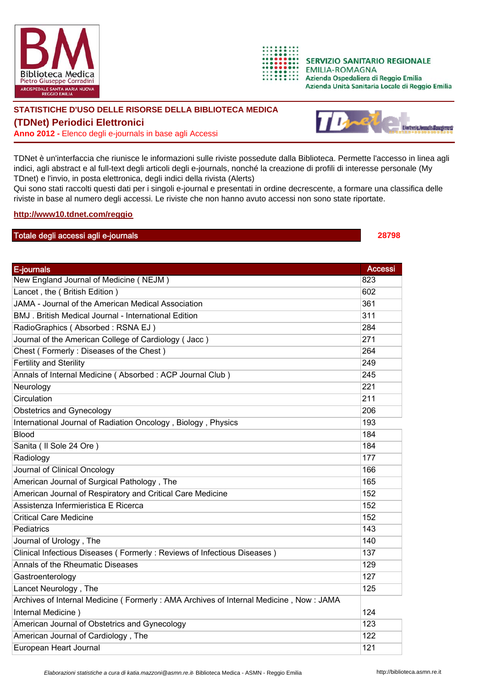



**SERVIZIO SANITARIO REGIONALE EMILIA-ROMAGNA** Azienda Ospedaliera di Reggio Emilia Azienda Unità Sanitaria Locale di Reggio Emilia

## **STATISTICHE D'USO DELLE RISORSE DELLA BIBLIOTECA MEDICA**

**(TDNet) Periodici Elettronici**

**Anno 2012 -** Elenco degli e-journals in base agli Accessi



TDNet è un'interfaccia che riunisce le informazioni sulle riviste possedute dalla Biblioteca. Permette l'accesso in linea agli indici, agli abstract e al full-text degli articoli degli e-journals, nonché la creazione di profili di interesse personale (My TDnet) e l'invio, in posta elettronica, degli indici della rivista (Alerts)

Qui sono stati raccolti questi dati per i singoli e-journal e presentati in ordine decrescente, a formare una classifica delle riviste in base al numero degli accessi. Le riviste che non hanno avuto accessi non sono state riportate.

## **http://www10.tdnet.com/reggio**

## Totale degli accessi agli e-journals **28798**

E-journals Accessive Contract of the Contract of the Contract of the Contract of the Contract of the Contract o New England Journal of Medicine ( NEJM ) 823 Lancet, the (British Edition) 602 JAMA - Journal of the American Medical Association 361 BMJ . British Medical Journal - International Edition 311 RadioGraphics ( Absorbed : RSNA EJ ) 284 Journal of the American College of Cardiology ( Jacc ) 271 Chest ( Formerly : Diseases of the Chest ) 264 Fertility and Sterility 249 Annals of Internal Medicine ( Absorbed : ACP Journal Club ) 245 Neurology 221 Circulation 211 Obstetrics and Gynecology 206 International Journal of Radiation Oncology, Biology, Physics 193 Blood and the contract of the contract of the contract of the contract of the contract of the contract of the contract of the contract of the contract of the contract of the contract of the contract of the contract of the Sanita (Il Sole 24 Ore ) 184 Radiology 177 Journal of Clinical Oncology 166 American Journal of Surgical Pathology, The 165 American Journal of Respiratory and Critical Care Medicine 152 Assistenza Infermieristica E Ricerca 152 Critical Care Medicine 152 Pediatrics 143 Journal of Urology , The 140 Clinical Infectious Diseases ( Formerly : Reviews of Infectious Diseases ) 137 Annals of the Rheumatic Diseases 129 Gastroenterology 127 Lancet Neurology, The 125 Archives of Internal Medicine ( Formerly : AMA Archives of Internal Medicine , Now : JAMA Internal Medicine ) 124 American Journal of Obstetrics and Gynecology 123 American Journal of Cardiology , The 122 European Heart Journal **121 Community** 121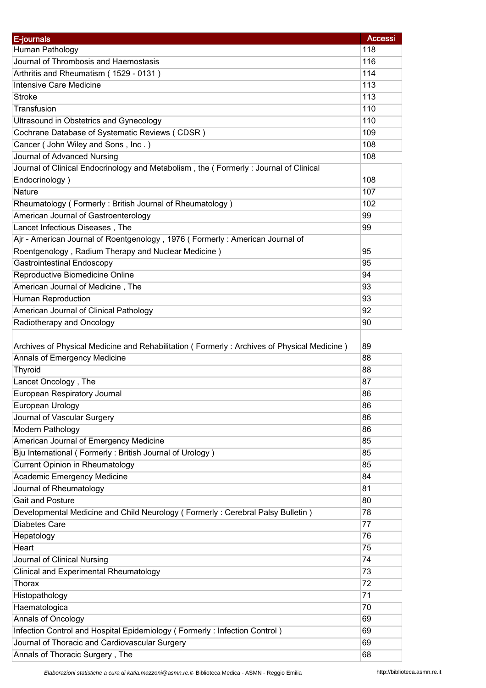| E-journals                                                                                 | <b>Accessi</b> |
|--------------------------------------------------------------------------------------------|----------------|
| Human Pathology                                                                            | 118            |
| Journal of Thrombosis and Haemostasis                                                      | 116            |
| Arthritis and Rheumatism (1529 - 0131)                                                     | 114            |
| <b>Intensive Care Medicine</b>                                                             | 113            |
| <b>Stroke</b>                                                                              | 113            |
| Transfusion                                                                                | 110            |
| <b>Ultrasound in Obstetrics and Gynecology</b>                                             | 110            |
| Cochrane Database of Systematic Reviews (CDSR)                                             | 109            |
| Cancer (John Wiley and Sons, Inc.)                                                         | 108            |
| Journal of Advanced Nursing                                                                | 108            |
| Journal of Clinical Endocrinology and Metabolism, the (Formerly: Journal of Clinical       |                |
| Endocrinology)                                                                             | 108            |
| Nature                                                                                     | 107            |
|                                                                                            |                |
| Rheumatology (Formerly: British Journal of Rheumatology)                                   | 102            |
| American Journal of Gastroenterology                                                       | 99             |
| Lancet Infectious Diseases, The                                                            | 99             |
| Ajr - American Journal of Roentgenology, 1976 (Formerly: American Journal of               |                |
| Roentgenology, Radium Therapy and Nuclear Medicine)                                        | 95             |
| <b>Gastrointestinal Endoscopy</b>                                                          | 95             |
| Reproductive Biomedicine Online                                                            | 94             |
| American Journal of Medicine, The                                                          | 93             |
| Human Reproduction                                                                         | 93             |
| American Journal of Clinical Pathology                                                     | 92             |
| Radiotherapy and Oncology                                                                  | 90             |
|                                                                                            |                |
| Archives of Physical Medicine and Rehabilitation (Formerly: Archives of Physical Medicine) | 89             |
| Annals of Emergency Medicine                                                               | 88             |
| Thyroid                                                                                    | 88             |
| Lancet Oncology, The                                                                       | 87             |
| European Respiratory Journal                                                               | 86             |
| European Urology                                                                           | 86             |
| Journal of Vascular Surgery                                                                | 86             |
| Modern Pathology                                                                           | 86             |
| American Journal of Emergency Medicine                                                     | 85             |
| Bju International (Formerly: British Journal of Urology)                                   | 85             |
| Current Opinion in Rheumatology                                                            | 85             |
| Academic Emergency Medicine                                                                | 84             |
| Journal of Rheumatology                                                                    | 81             |
| Gait and Posture                                                                           | 80             |
| Developmental Medicine and Child Neurology (Formerly: Cerebral Palsy Bulletin)             | 78             |
| Diabetes Care                                                                              | 77             |
| Hepatology                                                                                 | 76             |
| Heart                                                                                      | 75             |
| Journal of Clinical Nursing                                                                | 74             |
| <b>Clinical and Experimental Rheumatology</b>                                              | 73             |
| Thorax                                                                                     | 72             |
| Histopathology                                                                             | 71             |
| Haematologica                                                                              | 70             |
| Annals of Oncology                                                                         | 69             |
| Infection Control and Hospital Epidemiology (Formerly: Infection Control)                  | 69             |
| Journal of Thoracic and Cardiovascular Surgery                                             | 69             |
|                                                                                            | 68             |
| Annals of Thoracic Surgery, The                                                            |                |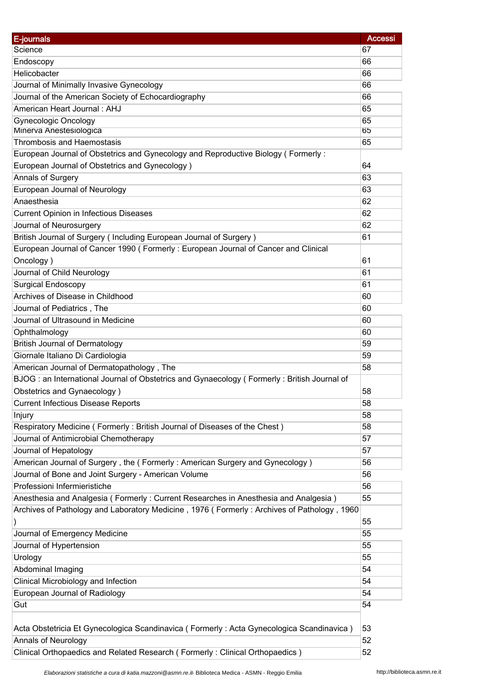| E-journals                                                                                 | <b>Accessi</b> |
|--------------------------------------------------------------------------------------------|----------------|
| Science                                                                                    | 67             |
| Endoscopy                                                                                  | 66             |
| Helicobacter                                                                               | 66             |
| Journal of Minimally Invasive Gynecology                                                   | 66             |
| Journal of the American Society of Echocardiography                                        | 66             |
| American Heart Journal: AHJ                                                                | 65             |
| <b>Gynecologic Oncology</b>                                                                | 65             |
| Minerva Anestesiologica                                                                    | 65             |
| <b>Thrombosis and Haemostasis</b>                                                          | 65             |
| European Journal of Obstetrics and Gynecology and Reproductive Biology (Formerly:          |                |
| European Journal of Obstetrics and Gynecology)                                             | 64             |
| Annals of Surgery                                                                          | 63             |
| European Journal of Neurology                                                              | 63             |
| Anaesthesia                                                                                | 62             |
| <b>Current Opinion in Infectious Diseases</b>                                              | 62             |
| Journal of Neurosurgery                                                                    | 62             |
| British Journal of Surgery (Including European Journal of Surgery)                         | 61             |
| European Journal of Cancer 1990 (Formerly: European Journal of Cancer and Clinical         |                |
| Oncology)                                                                                  | 61             |
| Journal of Child Neurology                                                                 | 61             |
| <b>Surgical Endoscopy</b>                                                                  | 61             |
| Archives of Disease in Childhood                                                           | 60             |
| Journal of Pediatrics, The                                                                 | 60             |
| Journal of Ultrasound in Medicine                                                          | 60             |
| Ophthalmology                                                                              | 60             |
| <b>British Journal of Dermatology</b>                                                      | 59             |
| Giornale Italiano Di Cardiologia                                                           | 59             |
| American Journal of Dermatopathology, The                                                  | 58             |
| BJOG: an International Journal of Obstetrics and Gynaecology (Formerly: British Journal of |                |
| Obstetrics and Gynaecology)                                                                | 58             |
| <b>Current Infectious Disease Reports</b>                                                  | 58             |
| Injury                                                                                     | 58             |
| Respiratory Medicine (Formerly: British Journal of Diseases of the Chest)                  | 58             |
| Journal of Antimicrobial Chemotherapy                                                      | 57             |
| Journal of Hepatology                                                                      | 57             |
| American Journal of Surgery, the (Formerly: American Surgery and Gynecology)               | 56             |
| Journal of Bone and Joint Surgery - American Volume                                        | 56             |
| Professioni Infermieristiche                                                               | 56             |
| Anesthesia and Analgesia (Formerly: Current Researches in Anesthesia and Analgesia)        | 55             |
| Archives of Pathology and Laboratory Medicine, 1976 (Formerly: Archives of Pathology, 1960 |                |
|                                                                                            | 55             |
| Journal of Emergency Medicine                                                              | 55             |
| Journal of Hypertension                                                                    | 55             |
| Urology                                                                                    | 55             |
| Abdominal Imaging                                                                          | 54             |
|                                                                                            | 54             |
| Clinical Microbiology and Infection                                                        |                |
| European Journal of Radiology                                                              | 54             |
| Gut                                                                                        | 54             |
|                                                                                            |                |
| Acta Obstetricia Et Gynecologica Scandinavica (Formerly: Acta Gynecologica Scandinavica)   | 53             |
| <b>Annals of Neurology</b>                                                                 | 52             |
| Clinical Orthopaedics and Related Research (Formerly: Clinical Orthopaedics)               | 52             |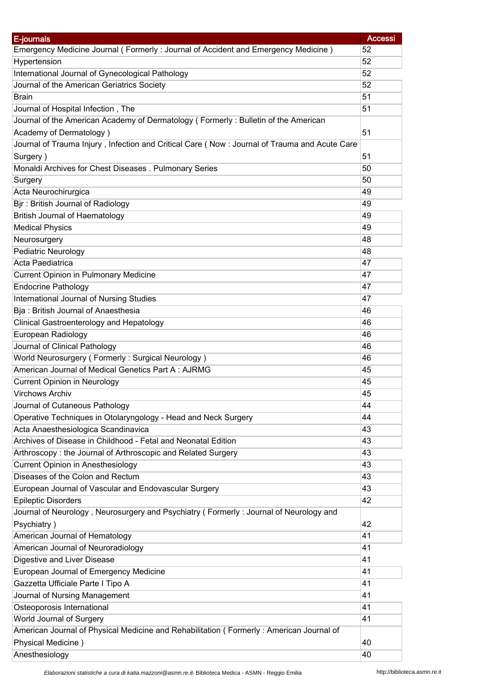| E-journals                                                                                   | <b>Accessi</b> |
|----------------------------------------------------------------------------------------------|----------------|
| Emergency Medicine Journal (Formerly: Journal of Accident and Emergency Medicine)            | 52             |
| Hypertension                                                                                 | 52             |
| International Journal of Gynecological Pathology                                             | 52             |
| Journal of the American Geriatrics Society                                                   | 52             |
| <b>Brain</b>                                                                                 | 51             |
| Journal of Hospital Infection, The                                                           | 51             |
| Journal of the American Academy of Dermatology (Formerly: Bulletin of the American           |                |
| Academy of Dermatology)                                                                      | 51             |
| Journal of Trauma Injury, Infection and Critical Care (Now: Journal of Trauma and Acute Care |                |
| Surgery)                                                                                     | 51             |
| Monaldi Archives for Chest Diseases . Pulmonary Series                                       | 50             |
| Surgery                                                                                      | 50             |
| Acta Neurochirurgica                                                                         | 49             |
| Bjr: British Journal of Radiology                                                            | 49             |
| <b>British Journal of Haematology</b>                                                        | 49             |
| <b>Medical Physics</b>                                                                       | 49             |
| Neurosurgery                                                                                 | 48             |
| <b>Pediatric Neurology</b>                                                                   | 48             |
| Acta Paediatrica                                                                             | 47             |
| <b>Current Opinion in Pulmonary Medicine</b>                                                 | 47             |
| <b>Endocrine Pathology</b>                                                                   | 47             |
| International Journal of Nursing Studies                                                     | 47             |
| Bja: British Journal of Anaesthesia                                                          | 46             |
| <b>Clinical Gastroenterology and Hepatology</b>                                              | 46             |
| European Radiology                                                                           | 46             |
| Journal of Clinical Pathology                                                                | 46             |
| World Neurosurgery (Formerly: Surgical Neurology)                                            | 46             |
| American Journal of Medical Genetics Part A: AJRMG                                           | 45             |
| <b>Current Opinion in Neurology</b>                                                          | 45             |
| <b>Virchows Archiv</b>                                                                       | 45             |
| Journal of Cutaneous Pathology                                                               | 44             |
| Operative Techniques in Otolaryngology - Head and Neck Surgery                               | 44             |
| Acta Anaesthesiologica Scandinavica                                                          | 43             |
| Archives of Disease in Childhood - Fetal and Neonatal Edition                                | 43             |
| Arthroscopy: the Journal of Arthroscopic and Related Surgery                                 | 43             |
| <b>Current Opinion in Anesthesiology</b>                                                     | 43             |
| Diseases of the Colon and Rectum                                                             | 43             |
| European Journal of Vascular and Endovascular Surgery                                        | 43             |
| <b>Epileptic Disorders</b>                                                                   | 42             |
| Journal of Neurology, Neurosurgery and Psychiatry (Formerly: Journal of Neurology and        |                |
| Psychiatry)                                                                                  | 42             |
| American Journal of Hematology                                                               | 41             |
| American Journal of Neuroradiology                                                           | 41             |
| Digestive and Liver Disease                                                                  | 41             |
| European Journal of Emergency Medicine                                                       | 41             |
| Gazzetta Ufficiale Parte I Tipo A                                                            | 41             |
| Journal of Nursing Management                                                                | 41             |
| Osteoporosis International                                                                   | 41             |
| World Journal of Surgery                                                                     | 41             |
| American Journal of Physical Medicine and Rehabilitation (Formerly: American Journal of      |                |
| Physical Medicine)                                                                           | 40             |
| Anesthesiology                                                                               | 40             |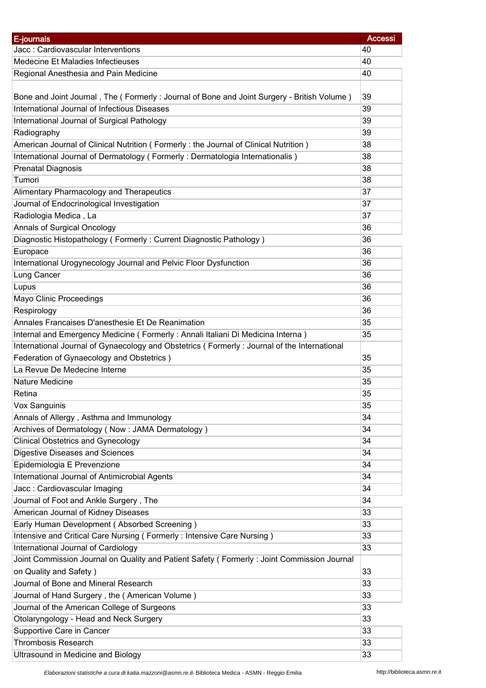| E-journals                                                                                  | <b>Accessi</b> |
|---------------------------------------------------------------------------------------------|----------------|
| Jacc: Cardiovascular Interventions                                                          | 40             |
| Medecine Et Maladies Infectieuses                                                           | 40             |
| Regional Anesthesia and Pain Medicine                                                       | 40             |
|                                                                                             |                |
| Bone and Joint Journal, The (Formerly: Journal of Bone and Joint Surgery - British Volume)  | 39             |
| International Journal of Infectious Diseases                                                | 39             |
| International Journal of Surgical Pathology                                                 | 39             |
| Radiography                                                                                 | 39             |
| American Journal of Clinical Nutrition (Formerly: the Journal of Clinical Nutrition)        | 38             |
| International Journal of Dermatology (Formerly: Dermatologia Internationalis)               | 38             |
| <b>Prenatal Diagnosis</b>                                                                   | 38             |
| Tumori                                                                                      | 38             |
| Alimentary Pharmacology and Therapeutics                                                    | 37             |
| Journal of Endocrinological Investigation                                                   | 37             |
| Radiologia Medica, La                                                                       | 37             |
| Annals of Surgical Oncology                                                                 | 36             |
| Diagnostic Histopathology (Formerly: Current Diagnostic Pathology)                          | 36             |
| Europace                                                                                    | 36             |
| International Urogynecology Journal and Pelvic Floor Dysfunction                            | 36             |
| Lung Cancer                                                                                 | 36             |
| Lupus                                                                                       | 36             |
| Mayo Clinic Proceedings                                                                     | 36             |
| Respirology                                                                                 | 36             |
| Annales Francaises D'anesthesie Et De Reanimation                                           | 35             |
| Internal and Emergency Medicine (Formerly: Annali Italiani Di Medicina Interna)             | 35             |
| International Journal of Gynaecology and Obstetrics (Formerly: Journal of the International |                |
| Federation of Gynaecology and Obstetrics)                                                   | 35             |
| La Revue De Medecine Interne                                                                | 35             |
| Nature Medicine                                                                             | 35             |
| Retina                                                                                      | 35             |
| Vox Sanguinis                                                                               | 35             |
| Annals of Allergy, Asthma and Immunology                                                    | 34             |
| Archives of Dermatology (Now: JAMA Dermatology)                                             | 34             |
| <b>Clinical Obstetrics and Gynecology</b>                                                   | 34             |
| <b>Digestive Diseases and Sciences</b>                                                      | 34             |
| Epidemiologia E Prevenzione                                                                 | 34             |
| International Journal of Antimicrobial Agents                                               | 34             |
| Jacc: Cardiovascular Imaging                                                                | 34             |
| Journal of Foot and Ankle Surgery, The                                                      | 34             |
| American Journal of Kidney Diseases                                                         | 33             |
| Early Human Development (Absorbed Screening)                                                | 33             |
| Intensive and Critical Care Nursing (Formerly: Intensive Care Nursing)                      | 33             |
| International Journal of Cardiology                                                         | 33             |
| Joint Commission Journal on Quality and Patient Safety (Formerly: Joint Commission Journal  |                |
| on Quality and Safety)                                                                      | 33             |
| Journal of Bone and Mineral Research                                                        | 33             |
| Journal of Hand Surgery, the (American Volume)                                              | 33             |
| Journal of the American College of Surgeons                                                 | 33             |
| Otolaryngology - Head and Neck Surgery                                                      | 33             |
| Supportive Care in Cancer                                                                   | 33             |
| <b>Thrombosis Research</b>                                                                  | 33             |
| Ultrasound in Medicine and Biology                                                          | 33             |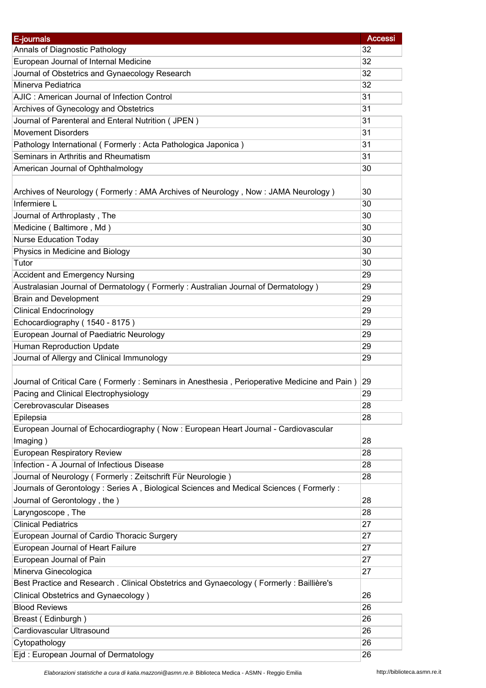| E-journals                                                                                   | <b>Accessi</b> |
|----------------------------------------------------------------------------------------------|----------------|
| Annals of Diagnostic Pathology                                                               | 32             |
| European Journal of Internal Medicine                                                        | 32             |
| Journal of Obstetrics and Gynaecology Research                                               | 32             |
| Minerva Pediatrica                                                                           | 32             |
| AJIC: American Journal of Infection Control                                                  | 31             |
| Archives of Gynecology and Obstetrics                                                        | 31             |
| Journal of Parenteral and Enteral Nutrition (JPEN)                                           | 31             |
| <b>Movement Disorders</b>                                                                    | 31             |
| Pathology International (Formerly: Acta Pathologica Japonica)                                | 31             |
| Seminars in Arthritis and Rheumatism                                                         | 31             |
| American Journal of Ophthalmology                                                            | 30             |
|                                                                                              |                |
| Archives of Neurology (Formerly: AMA Archives of Neurology, Now: JAMA Neurology)             | 30             |
| Infermiere L                                                                                 | 30             |
| Journal of Arthroplasty, The                                                                 | 30             |
| Medicine (Baltimore, Md)                                                                     | 30             |
| <b>Nurse Education Today</b>                                                                 | 30             |
| Physics in Medicine and Biology                                                              | 30             |
| Tutor                                                                                        | 30             |
| <b>Accident and Emergency Nursing</b>                                                        | 29             |
| Australasian Journal of Dermatology (Formerly: Australian Journal of Dermatology)            | 29             |
| <b>Brain and Development</b>                                                                 | 29             |
| <b>Clinical Endocrinology</b>                                                                | 29             |
| Echocardiography (1540 - 8175)                                                               | 29             |
| European Journal of Paediatric Neurology                                                     | 29             |
| Human Reproduction Update                                                                    | 29             |
| Journal of Allergy and Clinical Immunology                                                   | 29             |
|                                                                                              |                |
| Journal of Critical Care (Formerly: Seminars in Anesthesia, Perioperative Medicine and Pain) | 29             |
| Pacing and Clinical Electrophysiology                                                        | 29             |
| Cerebrovascular Diseases                                                                     | 28             |
| Epilepsia                                                                                    | 28             |
| European Journal of Echocardiography (Now : European Heart Journal - Cardiovascular          |                |
| Imaging)                                                                                     | 28             |
| <b>European Respiratory Review</b>                                                           | 28             |
| Infection - A Journal of Infectious Disease                                                  | 28             |
| Journal of Neurology (Formerly: Zeitschrift Für Neurologie)                                  | 28             |
| Journals of Gerontology : Series A, Biological Sciences and Medical Sciences (Formerly :     |                |
| Journal of Gerontology, the)                                                                 | 28             |
| Laryngoscope, The                                                                            | 28             |
| <b>Clinical Pediatrics</b>                                                                   | 27             |
| European Journal of Cardio Thoracic Surgery                                                  | 27             |
| European Journal of Heart Failure                                                            | 27             |
| European Journal of Pain                                                                     | 27             |
| Minerva Ginecologica                                                                         | 27             |
| Best Practice and Research . Clinical Obstetrics and Gynaecology (Formerly: Baillière's      |                |
| <b>Clinical Obstetrics and Gynaecology</b> )                                                 | 26             |
| <b>Blood Reviews</b>                                                                         | 26             |
| Breast (Edinburgh)                                                                           | 26             |
| Cardiovascular Ultrasound                                                                    | 26             |
| Cytopathology                                                                                | 26             |
| Ejd: European Journal of Dermatology                                                         | 26             |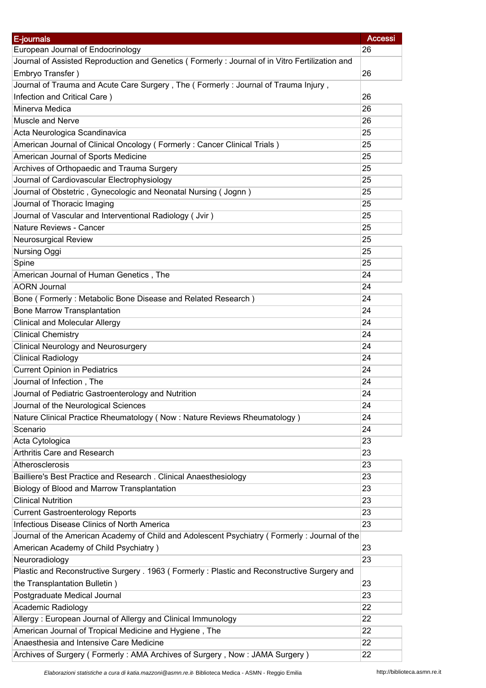| E-journals                                                                                     | <b>Accessi</b> |
|------------------------------------------------------------------------------------------------|----------------|
| European Journal of Endocrinology                                                              | 26             |
| Journal of Assisted Reproduction and Genetics (Formerly: Journal of in Vitro Fertilization and |                |
| Embryo Transfer)                                                                               | 26             |
| Journal of Trauma and Acute Care Surgery, The (Formerly: Journal of Trauma Injury,             |                |
| Infection and Critical Care)                                                                   | 26             |
| Minerva Medica                                                                                 | 26             |
| Muscle and Nerve                                                                               | 26             |
| Acta Neurologica Scandinavica                                                                  | 25             |
| American Journal of Clinical Oncology (Formerly: Cancer Clinical Trials)                       | 25             |
| American Journal of Sports Medicine                                                            | 25             |
| Archives of Orthopaedic and Trauma Surgery                                                     | 25             |
| Journal of Cardiovascular Electrophysiology                                                    | 25             |
| Journal of Obstetric, Gynecologic and Neonatal Nursing (Jognn)                                 | 25             |
| Journal of Thoracic Imaging                                                                    | 25             |
| Journal of Vascular and Interventional Radiology (Jvir)                                        | 25             |
| Nature Reviews - Cancer                                                                        | 25             |
| <b>Neurosurgical Review</b>                                                                    | 25             |
| Nursing Oggi                                                                                   | 25             |
| Spine                                                                                          | 25             |
| American Journal of Human Genetics, The                                                        | 24             |
| <b>AORN Journal</b>                                                                            | 24             |
| Bone (Formerly: Metabolic Bone Disease and Related Research)                                   | 24             |
| <b>Bone Marrow Transplantation</b>                                                             | 24             |
| <b>Clinical and Molecular Allergy</b>                                                          | 24             |
| <b>Clinical Chemistry</b>                                                                      | 24             |
| <b>Clinical Neurology and Neurosurgery</b>                                                     | 24             |
| <b>Clinical Radiology</b>                                                                      | 24             |
| <b>Current Opinion in Pediatrics</b>                                                           | 24             |
| Journal of Infection, The                                                                      | 24             |
| Journal of Pediatric Gastroenterology and Nutrition                                            | 24             |
| Journal of the Neurological Sciences                                                           | 24             |
| Nature Clinical Practice Rheumatology (Now: Nature Reviews Rheumatology)                       | 24             |
| Scenario                                                                                       | 24             |
| Acta Cytologica                                                                                | 23             |
| Arthritis Care and Research                                                                    | 23             |
| Atherosclerosis                                                                                | 23             |
| Bailliere's Best Practice and Research . Clinical Anaesthesiology                              | 23             |
| Biology of Blood and Marrow Transplantation                                                    | 23             |
| <b>Clinical Nutrition</b>                                                                      | 23             |
| <b>Current Gastroenterology Reports</b>                                                        | 23             |
| Infectious Disease Clinics of North America                                                    | 23             |
| Journal of the American Academy of Child and Adolescent Psychiatry (Formerly: Journal of the   |                |
| American Academy of Child Psychiatry)                                                          | 23             |
| Neuroradiology                                                                                 | 23             |
| Plastic and Reconstructive Surgery . 1963 (Formerly: Plastic and Reconstructive Surgery and    |                |
| the Transplantation Bulletin)                                                                  | 23             |
| Postgraduate Medical Journal                                                                   | 23             |
| Academic Radiology                                                                             | 22             |
| Allergy: European Journal of Allergy and Clinical Immunology                                   | 22             |
| American Journal of Tropical Medicine and Hygiene, The                                         | 22             |
| Anaesthesia and Intensive Care Medicine                                                        | 22             |
| Archives of Surgery (Formerly: AMA Archives of Surgery, Now: JAMA Surgery)                     | 22             |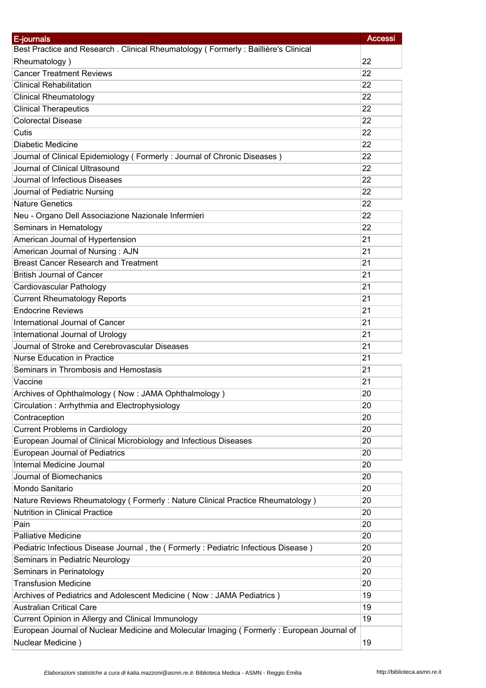| E-journals                                                                                | <b>Accessi</b>  |
|-------------------------------------------------------------------------------------------|-----------------|
| Best Practice and Research . Clinical Rheumatology (Formerly: Baillière's Clinical        |                 |
| Rheumatology)                                                                             | 22              |
| <b>Cancer Treatment Reviews</b>                                                           | 22              |
| <b>Clinical Rehabilitation</b>                                                            | 22              |
| <b>Clinical Rheumatology</b>                                                              | 22              |
| <b>Clinical Therapeutics</b>                                                              | 22              |
| <b>Colorectal Disease</b>                                                                 | 22              |
| Cutis                                                                                     | 22              |
| Diabetic Medicine                                                                         | 22              |
| Journal of Clinical Epidemiology (Formerly: Journal of Chronic Diseases)                  | 22              |
| Journal of Clinical Ultrasound                                                            | 22              |
| Journal of Infectious Diseases                                                            | $\overline{22}$ |
| Journal of Pediatric Nursing                                                              | 22              |
| <b>Nature Genetics</b>                                                                    | 22              |
| Neu - Organo Dell Associazione Nazionale Infermieri                                       | 22              |
| Seminars in Hematology                                                                    | 22              |
| American Journal of Hypertension                                                          | 21              |
| American Journal of Nursing: AJN                                                          | 21              |
| <b>Breast Cancer Research and Treatment</b>                                               | 21              |
| <b>British Journal of Cancer</b>                                                          | 21              |
| Cardiovascular Pathology                                                                  | 21              |
| <b>Current Rheumatology Reports</b>                                                       | 21              |
| <b>Endocrine Reviews</b>                                                                  | 21              |
| International Journal of Cancer                                                           | 21              |
| International Journal of Urology                                                          | 21              |
| Journal of Stroke and Cerebrovascular Diseases                                            | 21              |
| <b>Nurse Education in Practice</b>                                                        | 21              |
| Seminars in Thrombosis and Hemostasis                                                     | 21              |
| Vaccine                                                                                   | 21              |
| Archives of Ophthalmology (Now: JAMA Ophthalmology)                                       | 20              |
| Circulation: Arrhythmia and Electrophysiology                                             | 20              |
| Contraception                                                                             | 20              |
| <b>Current Problems in Cardiology</b>                                                     | 20              |
| European Journal of Clinical Microbiology and Infectious Diseases                         | 20              |
| European Journal of Pediatrics                                                            | 20              |
| Internal Medicine Journal                                                                 | 20              |
| Journal of Biomechanics                                                                   | 20              |
| Mondo Sanitario                                                                           | 20              |
| Nature Reviews Rheumatology (Formerly: Nature Clinical Practice Rheumatology)             | 20              |
| Nutrition in Clinical Practice                                                            | 20              |
| Pain                                                                                      | 20              |
| <b>Palliative Medicine</b>                                                                | 20              |
| Pediatric Infectious Disease Journal, the (Formerly: Pediatric Infectious Disease)        | 20              |
| Seminars in Pediatric Neurology                                                           | 20              |
| Seminars in Perinatology                                                                  | 20              |
| <b>Transfusion Medicine</b>                                                               | 20              |
| Archives of Pediatrics and Adolescent Medicine (Now: JAMA Pediatrics)                     | 19              |
| <b>Australian Critical Care</b>                                                           | 19              |
| Current Opinion in Allergy and Clinical Immunology                                        | 19              |
| European Journal of Nuclear Medicine and Molecular Imaging (Formerly: European Journal of |                 |
| Nuclear Medicine)                                                                         | 19              |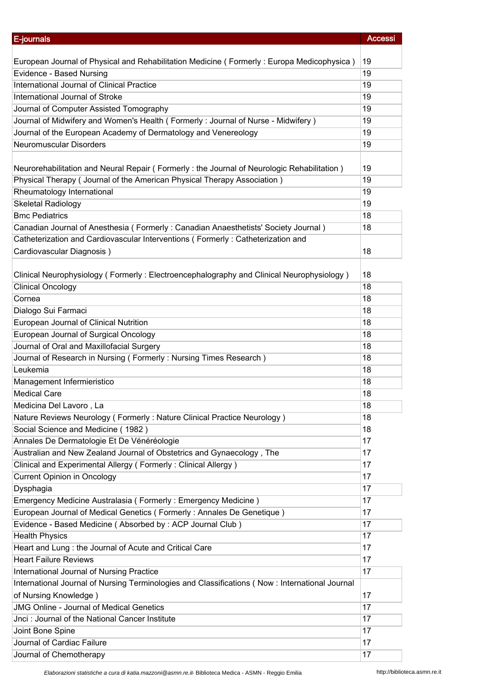| E-journals                                                                                     | <b>Accessi</b> |
|------------------------------------------------------------------------------------------------|----------------|
|                                                                                                |                |
| European Journal of Physical and Rehabilitation Medicine (Formerly: Europa Medicophysica)      | 19             |
| Evidence - Based Nursing                                                                       | 19             |
| International Journal of Clinical Practice                                                     | 19             |
| International Journal of Stroke                                                                | 19             |
| Journal of Computer Assisted Tomography                                                        | 19             |
| Journal of Midwifery and Women's Health (Formerly: Journal of Nurse - Midwifery)               | 19             |
| Journal of the European Academy of Dermatology and Venereology                                 | 19             |
| <b>Neuromuscular Disorders</b>                                                                 | 19             |
|                                                                                                |                |
| Neurorehabilitation and Neural Repair (Formerly: the Journal of Neurologic Rehabilitation)     | 19             |
| Physical Therapy ( Journal of the American Physical Therapy Association )                      | 19             |
| Rheumatology International                                                                     | 19             |
| <b>Skeletal Radiology</b>                                                                      | 19             |
| <b>Bmc Pediatrics</b>                                                                          | 18             |
| Canadian Journal of Anesthesia (Formerly: Canadian Anaesthetists' Society Journal)             | 18             |
| Catheterization and Cardiovascular Interventions (Formerly: Catheterization and                |                |
| Cardiovascular Diagnosis)                                                                      | 18             |
|                                                                                                |                |
| Clinical Neurophysiology (Formerly: Electroencephalography and Clinical Neurophysiology)       | 18             |
| <b>Clinical Oncology</b>                                                                       | 18             |
| Cornea                                                                                         | 18             |
| Dialogo Sui Farmaci                                                                            | 18             |
| European Journal of Clinical Nutrition                                                         | 18             |
| European Journal of Surgical Oncology                                                          | 18             |
| Journal of Oral and Maxillofacial Surgery                                                      | 18             |
| Journal of Research in Nursing (Formerly: Nursing Times Research)                              | 18             |
| Leukemia                                                                                       | 18             |
| Management Infermieristico                                                                     | 18             |
| <b>Medical Care</b>                                                                            | 18             |
| Medicina Del Lavoro, La                                                                        | 18             |
|                                                                                                |                |
| Nature Reviews Neurology (Formerly: Nature Clinical Practice Neurology)                        | 18             |
| Social Science and Medicine (1982)                                                             | 18             |
| Annales De Dermatologie Et De Vénéréologie                                                     | 17             |
| Australian and New Zealand Journal of Obstetrics and Gynaecology, The                          | 17             |
| Clinical and Experimental Allergy (Formerly: Clinical Allergy)                                 | 17             |
| <b>Current Opinion in Oncology</b>                                                             | 17             |
| Dysphagia                                                                                      | 17             |
| Emergency Medicine Australasia (Formerly: Emergency Medicine)                                  | 17             |
| European Journal of Medical Genetics (Formerly: Annales De Genetique)                          | 17             |
| Evidence - Based Medicine (Absorbed by : ACP Journal Club)                                     | 17             |
| <b>Health Physics</b>                                                                          | 17             |
| Heart and Lung : the Journal of Acute and Critical Care                                        | 17             |
| <b>Heart Failure Reviews</b>                                                                   | 17             |
| International Journal of Nursing Practice                                                      | 17             |
| International Journal of Nursing Terminologies and Classifications (Now: International Journal |                |
| of Nursing Knowledge)                                                                          | 17             |
| <b>JMG Online - Journal of Medical Genetics</b>                                                | 17             |
| Jnci: Journal of the National Cancer Institute                                                 | 17             |
| Joint Bone Spine                                                                               | 17             |
| Journal of Cardiac Failure                                                                     | 17             |
| Journal of Chemotherapy                                                                        | 17             |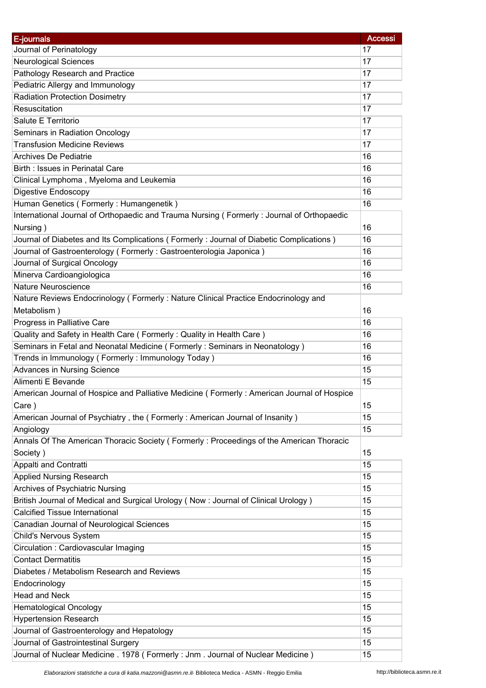| E-journals                                                                                 | <b>Accessi</b> |
|--------------------------------------------------------------------------------------------|----------------|
| Journal of Perinatology                                                                    | 17             |
| <b>Neurological Sciences</b>                                                               | 17             |
| Pathology Research and Practice                                                            | 17             |
| Pediatric Allergy and Immunology                                                           | 17             |
| <b>Radiation Protection Dosimetry</b>                                                      | 17             |
| Resuscitation                                                                              | 17             |
| Salute E Territorio                                                                        | 17             |
| Seminars in Radiation Oncology                                                             | 17             |
| <b>Transfusion Medicine Reviews</b>                                                        | 17             |
| Archives De Pediatrie                                                                      | 16             |
| Birth: Issues in Perinatal Care                                                            | 16             |
| Clinical Lymphoma, Myeloma and Leukemia                                                    | 16             |
|                                                                                            |                |
| Digestive Endoscopy                                                                        | 16             |
| Human Genetics (Formerly: Humangenetik)                                                    | 16             |
| International Journal of Orthopaedic and Trauma Nursing (Formerly: Journal of Orthopaedic  |                |
| Nursing)                                                                                   | 16             |
| Journal of Diabetes and Its Complications (Formerly: Journal of Diabetic Complications)    | 16             |
| Journal of Gastroenterology (Formerly: Gastroenterologia Japonica)                         | 16             |
| Journal of Surgical Oncology                                                               | 16             |
| Minerva Cardioangiologica                                                                  | 16             |
| Nature Neuroscience                                                                        | 16             |
| Nature Reviews Endocrinology (Formerly: Nature Clinical Practice Endocrinology and         |                |
| Metabolism)                                                                                | 16             |
| Progress in Palliative Care                                                                | 16             |
| Quality and Safety in Health Care (Formerly: Quality in Health Care)                       | 16             |
| Seminars in Fetal and Neonatal Medicine (Formerly: Seminars in Neonatology)                | 16             |
| Trends in Immunology (Formerly: Immunology Today)                                          | 16             |
| Advances in Nursing Science                                                                | 15             |
| Alimenti E Bevande                                                                         | 15             |
| American Journal of Hospice and Palliative Medicine (Formerly: American Journal of Hospice |                |
| Care)                                                                                      | 15             |
| American Journal of Psychiatry, the (Formerly: American Journal of Insanity)               | 15             |
| Angiology                                                                                  | 15             |
| Annals Of The American Thoracic Society (Formerly: Proceedings of the American Thoracic    |                |
| Society)                                                                                   | 15             |
| Appalti and Contratti                                                                      | 15             |
| <b>Applied Nursing Research</b>                                                            | 15             |
| Archives of Psychiatric Nursing                                                            | 15             |
| British Journal of Medical and Surgical Urology (Now : Journal of Clinical Urology)        | 15             |
| <b>Calcified Tissue International</b>                                                      | 15             |
| Canadian Journal of Neurological Sciences                                                  | 15             |
| Child's Nervous System                                                                     | 15             |
| Circulation: Cardiovascular Imaging                                                        | 15             |
| <b>Contact Dermatitis</b>                                                                  | 15             |
| Diabetes / Metabolism Research and Reviews                                                 | 15             |
| Endocrinology                                                                              | 15             |
| Head and Neck                                                                              | 15             |
| <b>Hematological Oncology</b>                                                              | 15             |
| <b>Hypertension Research</b>                                                               | 15             |
|                                                                                            | 15             |
| Journal of Gastroenterology and Hepatology                                                 |                |
| Journal of Gastrointestinal Surgery                                                        | 15             |
| Journal of Nuclear Medicine . 1978 (Formerly : Jnm. Journal of Nuclear Medicine)           | 15             |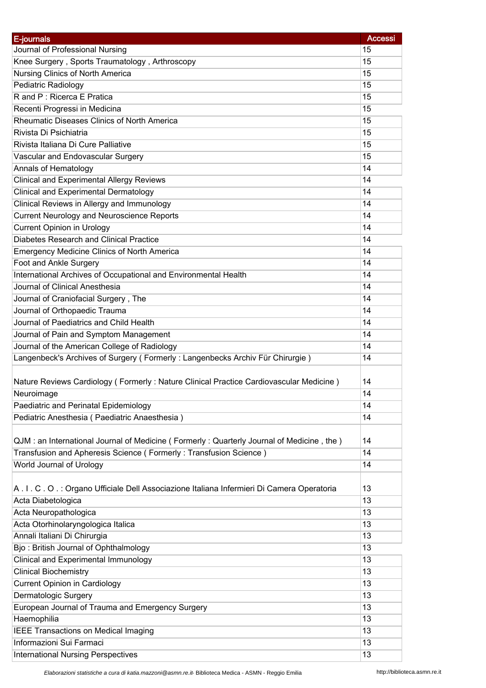| E-journals                                                                               | <b>Accessi</b> |
|------------------------------------------------------------------------------------------|----------------|
| Journal of Professional Nursing                                                          | 15             |
| Knee Surgery, Sports Traumatology, Arthroscopy                                           | 15             |
| Nursing Clinics of North America                                                         | 15             |
| Pediatric Radiology                                                                      | 15             |
| R and P: Ricerca E Pratica                                                               | 15             |
| Recenti Progressi in Medicina                                                            | 15             |
| Rheumatic Diseases Clinics of North America                                              | 15             |
| Rivista Di Psichiatria                                                                   | 15             |
| Rivista Italiana Di Cure Palliative                                                      | 15             |
| Vascular and Endovascular Surgery                                                        | 15             |
| Annals of Hematology                                                                     | 14             |
| <b>Clinical and Experimental Allergy Reviews</b>                                         | 14             |
| <b>Clinical and Experimental Dermatology</b>                                             | 14             |
| Clinical Reviews in Allergy and Immunology                                               | 14             |
| <b>Current Neurology and Neuroscience Reports</b>                                        | 14             |
| <b>Current Opinion in Urology</b>                                                        | 14             |
| Diabetes Research and Clinical Practice                                                  | 14             |
| <b>Emergency Medicine Clinics of North America</b>                                       | 14             |
| Foot and Ankle Surgery                                                                   | 14             |
| International Archives of Occupational and Environmental Health                          | 14             |
| Journal of Clinical Anesthesia                                                           | 14             |
| Journal of Craniofacial Surgery, The                                                     | 14             |
| Journal of Orthopaedic Trauma                                                            | 14             |
| Journal of Paediatrics and Child Health                                                  | 14             |
| Journal of Pain and Symptom Management                                                   | 14             |
| Journal of the American College of Radiology                                             | 14             |
| Langenbeck's Archives of Surgery (Formerly: Langenbecks Archiv Für Chirurgie)            | 14             |
|                                                                                          |                |
| Nature Reviews Cardiology (Formerly: Nature Clinical Practice Cardiovascular Medicine)   | 14             |
| Neuroimage                                                                               | 14             |
| Paediatric and Perinatal Epidemiology                                                    | 14             |
| Pediatric Anesthesia (Paediatric Anaesthesia)                                            | 14             |
|                                                                                          |                |
| QJM: an International Journal of Medicine (Formerly: Quarterly Journal of Medicine, the) | 14             |
| Transfusion and Apheresis Science (Formerly: Transfusion Science)                        | 14             |
| World Journal of Urology                                                                 | 14             |
|                                                                                          |                |
| A.I.C.O.: Organo Ufficiale Dell Associazione Italiana Infermieri Di Camera Operatoria    | 13             |
| Acta Diabetologica                                                                       | 13             |
| Acta Neuropathologica                                                                    | 13             |
| Acta Otorhinolaryngologica Italica                                                       | 13             |
| Annali Italiani Di Chirurgia                                                             | 13             |
| Bjo: British Journal of Ophthalmology                                                    | 13             |
| Clinical and Experimental Immunology                                                     | 13             |
| <b>Clinical Biochemistry</b>                                                             | 13             |
| <b>Current Opinion in Cardiology</b>                                                     | 13             |
| Dermatologic Surgery                                                                     | 13             |
| European Journal of Trauma and Emergency Surgery                                         | 13             |
| Haemophilia                                                                              | 13             |
|                                                                                          | 13             |
| <b>IEEE Transactions on Medical Imaging</b><br>Informazioni Sui Farmaci                  | 13             |
|                                                                                          |                |
| <b>International Nursing Perspectives</b>                                                | 13             |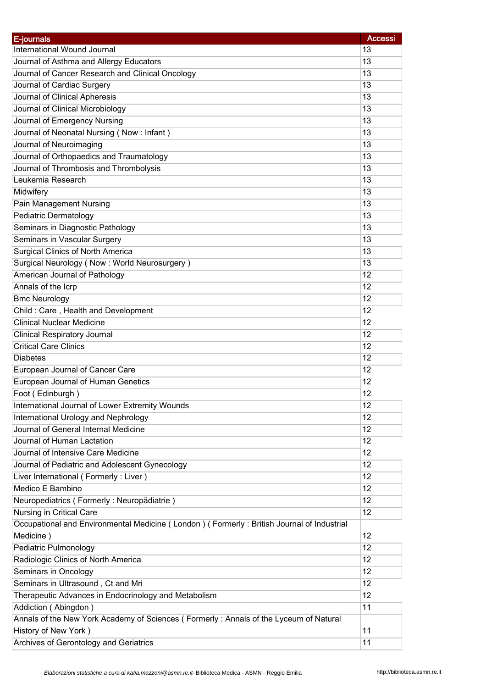| E-journals                                                                                | <b>Accessi</b> |
|-------------------------------------------------------------------------------------------|----------------|
| International Wound Journal                                                               | 13             |
| Journal of Asthma and Allergy Educators                                                   | 13             |
| Journal of Cancer Research and Clinical Oncology                                          | 13             |
| Journal of Cardiac Surgery                                                                | 13             |
| Journal of Clinical Apheresis                                                             | 13             |
| Journal of Clinical Microbiology                                                          | 13             |
| Journal of Emergency Nursing                                                              | 13             |
| Journal of Neonatal Nursing (Now: Infant)                                                 | 13             |
| Journal of Neuroimaging                                                                   | 13             |
| Journal of Orthopaedics and Traumatology                                                  | 13             |
| Journal of Thrombosis and Thrombolysis                                                    | 13             |
| Leukemia Research                                                                         | 13             |
| Midwifery                                                                                 | 13             |
| Pain Management Nursing                                                                   | 13             |
| Pediatric Dermatology                                                                     | 13             |
| Seminars in Diagnostic Pathology                                                          | 13             |
| Seminars in Vascular Surgery                                                              | 13             |
| <b>Surgical Clinics of North America</b>                                                  | 13             |
| Surgical Neurology (Now: World Neurosurgery)                                              | 13             |
| American Journal of Pathology                                                             | 12             |
| Annals of the Icrp                                                                        | 12             |
| <b>Bmc Neurology</b>                                                                      | 12             |
| Child: Care, Health and Development                                                       | 12             |
| <b>Clinical Nuclear Medicine</b>                                                          | 12             |
| <b>Clinical Respiratory Journal</b>                                                       | 12             |
| <b>Critical Care Clinics</b>                                                              | 12             |
| <b>Diabetes</b>                                                                           | 12             |
| European Journal of Cancer Care                                                           | 12             |
| European Journal of Human Genetics                                                        | 12             |
| Foot (Edinburgh)                                                                          | 12             |
| International Journal of Lower Extremity Wounds                                           | 12             |
| International Urology and Nephrology                                                      | 12             |
| Journal of General Internal Medicine                                                      | 12             |
| Journal of Human Lactation                                                                | 12             |
| Journal of Intensive Care Medicine                                                        | 12             |
| Journal of Pediatric and Adolescent Gynecology                                            | 12             |
| Liver International (Formerly: Liver)                                                     | 12             |
| Medico E Bambino                                                                          | 12             |
| Neuropediatrics (Formerly: Neuropädiatrie)                                                | 12             |
| Nursing in Critical Care                                                                  | 12             |
| Occupational and Environmental Medicine (London) (Formerly: British Journal of Industrial |                |
| Medicine)                                                                                 | 12             |
| Pediatric Pulmonology                                                                     | 12             |
| Radiologic Clinics of North America                                                       | 12             |
| Seminars in Oncology                                                                      | 12             |
| Seminars in Ultrasound, Ct and Mri                                                        | 12             |
| Therapeutic Advances in Endocrinology and Metabolism                                      | 12             |
| Addiction (Abingdon)                                                                      | 11             |
| Annals of the New York Academy of Sciences (Formerly: Annals of the Lyceum of Natural     |                |
| History of New York)                                                                      | 11             |
|                                                                                           |                |
| Archives of Gerontology and Geriatrics                                                    | 11             |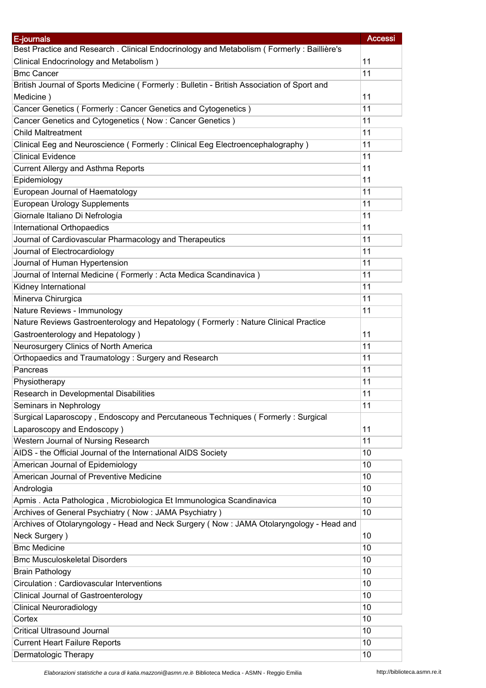| E-journals                                                                                | <b>Accessi</b> |
|-------------------------------------------------------------------------------------------|----------------|
| Best Practice and Research . Clinical Endocrinology and Metabolism (Formerly: Baillière's |                |
| Clinical Endocrinology and Metabolism)                                                    | 11             |
| <b>Bmc Cancer</b>                                                                         | 11             |
| British Journal of Sports Medicine (Formerly: Bulletin - British Association of Sport and |                |
| Medicine)                                                                                 | 11             |
| Cancer Genetics (Formerly: Cancer Genetics and Cytogenetics)                              | 11             |
| Cancer Genetics and Cytogenetics (Now: Cancer Genetics)                                   | 11             |
| <b>Child Maltreatment</b>                                                                 | 11             |
| Clinical Eeg and Neuroscience (Formerly: Clinical Eeg Electroencephalography)             | 11             |
| <b>Clinical Evidence</b>                                                                  | 11             |
| Current Allergy and Asthma Reports                                                        | 11             |
| Epidemiology                                                                              | 11             |
| European Journal of Haematology                                                           | 11             |
| <b>European Urology Supplements</b>                                                       | 11             |
| Giornale Italiano Di Nefrologia                                                           | 11             |
| International Orthopaedics                                                                | 11             |
|                                                                                           | 11             |
| Journal of Cardiovascular Pharmacology and Therapeutics                                   |                |
| Journal of Electrocardiology                                                              | 11             |
| Journal of Human Hypertension                                                             | 11             |
| Journal of Internal Medicine (Formerly: Acta Medica Scandinavica)                         | 11             |
| Kidney International                                                                      | 11             |
| Minerva Chirurgica                                                                        | 11             |
| Nature Reviews - Immunology                                                               | 11             |
| Nature Reviews Gastroenterology and Hepatology (Formerly: Nature Clinical Practice        |                |
| Gastroenterology and Hepatology)                                                          | 11             |
| Neurosurgery Clinics of North America                                                     | 11             |
| Orthopaedics and Traumatology: Surgery and Research                                       | 11             |
| Pancreas                                                                                  | 11             |
| Physiotherapy                                                                             | 11             |
| Research in Developmental Disabilities                                                    | 11             |
| Seminars in Nephrology                                                                    | 11             |
| Surgical Laparoscopy, Endoscopy and Percutaneous Techniques (Formerly: Surgical           |                |
| Laparoscopy and Endoscopy)                                                                | 11             |
| Western Journal of Nursing Research                                                       | 11             |
| AIDS - the Official Journal of the International AIDS Society                             | 10             |
| American Journal of Epidemiology                                                          | 10             |
| American Journal of Preventive Medicine                                                   | 10             |
| Andrologia                                                                                | 10             |
| Apmis. Acta Pathologica, Microbiologica Et Immunologica Scandinavica                      | 10             |
| Archives of General Psychiatry (Now: JAMA Psychiatry)                                     | 10             |
| Archives of Otolaryngology - Head and Neck Surgery (Now: JAMA Otolaryngology - Head and   |                |
| Neck Surgery)                                                                             | 10             |
| <b>Bmc Medicine</b>                                                                       | 10             |
| <b>Bmc Musculoskeletal Disorders</b>                                                      | 10             |
| <b>Brain Pathology</b>                                                                    | 10             |
| Circulation: Cardiovascular Interventions                                                 | 10             |
| <b>Clinical Journal of Gastroenterology</b>                                               | 10             |
| <b>Clinical Neuroradiology</b>                                                            | 10             |
| Cortex                                                                                    | 10             |
| <b>Critical Ultrasound Journal</b>                                                        | 10             |
| <b>Current Heart Failure Reports</b>                                                      | 10             |
| Dermatologic Therapy                                                                      | 10             |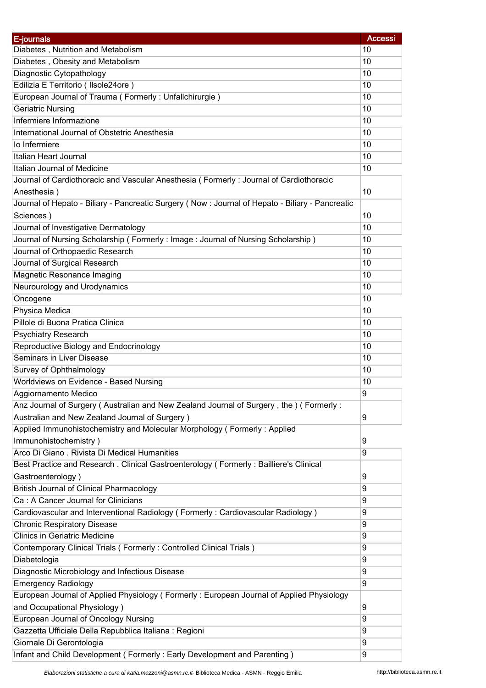| E-journals                                                                                       | <b>Accessi</b> |
|--------------------------------------------------------------------------------------------------|----------------|
| Diabetes, Nutrition and Metabolism                                                               | 10             |
| Diabetes, Obesity and Metabolism                                                                 | 10             |
| Diagnostic Cytopathology                                                                         | 10             |
| Edilizia E Territorio (Ilsole24ore)                                                              | 10             |
| European Journal of Trauma (Formerly: Unfallchirurgie)                                           | 10             |
| <b>Geriatric Nursing</b>                                                                         | 10             |
| Infermiere Informazione                                                                          | 10             |
| International Journal of Obstetric Anesthesia                                                    | 10             |
| lo Infermiere                                                                                    | 10             |
| Italian Heart Journal                                                                            | 10             |
| Italian Journal of Medicine                                                                      | 10             |
| Journal of Cardiothoracic and Vascular Anesthesia (Formerly: Journal of Cardiothoracic           |                |
| Anesthesia)                                                                                      | 10             |
| Journal of Hepato - Biliary - Pancreatic Surgery (Now : Journal of Hepato - Biliary - Pancreatic |                |
| Sciences)                                                                                        | 10             |
| Journal of Investigative Dermatology                                                             | 10             |
|                                                                                                  | 10             |
| Journal of Nursing Scholarship (Formerly: Image: Journal of Nursing Scholarship)                 |                |
| Journal of Orthopaedic Research                                                                  | 10             |
| Journal of Surgical Research                                                                     | 10             |
| Magnetic Resonance Imaging                                                                       | 10             |
| Neurourology and Urodynamics                                                                     | 10             |
| Oncogene                                                                                         | 10             |
| Physica Medica                                                                                   | 10             |
| Pillole di Buona Pratica Clinica                                                                 | 10             |
| Psychiatry Research                                                                              | 10             |
| Reproductive Biology and Endocrinology                                                           | 10             |
| Seminars in Liver Disease                                                                        | 10             |
| Survey of Ophthalmology                                                                          | 10             |
| Worldviews on Evidence - Based Nursing                                                           | 10             |
| Aggiornamento Medico                                                                             | 9              |
| Anz Journal of Surgery (Australian and New Zealand Journal of Surgery, the) (Formerly:           |                |
| Australian and New Zealand Journal of Surgery)                                                   | 9              |
| Applied Immunohistochemistry and Molecular Morphology (Formerly: Applied                         |                |
| Immunohistochemistry)                                                                            | 9              |
| Arco Di Giano. Rivista Di Medical Humanities                                                     | 9              |
| Best Practice and Research . Clinical Gastroenterology (Formerly: Bailliere's Clinical           |                |
| Gastroenterology)                                                                                | 9              |
| <b>British Journal of Clinical Pharmacology</b>                                                  | 9              |
| Ca: A Cancer Journal for Clinicians                                                              | 9              |
| Cardiovascular and Interventional Radiology (Formerly: Cardiovascular Radiology)                 | 9              |
| <b>Chronic Respiratory Disease</b>                                                               | 9              |
| <b>Clinics in Geriatric Medicine</b>                                                             | 9              |
| Contemporary Clinical Trials (Formerly: Controlled Clinical Trials)                              | 9              |
| Diabetologia                                                                                     | 9              |
| Diagnostic Microbiology and Infectious Disease                                                   | 9              |
| <b>Emergency Radiology</b>                                                                       | 9              |
| European Journal of Applied Physiology (Formerly: European Journal of Applied Physiology         |                |
| and Occupational Physiology)                                                                     | 9              |
| European Journal of Oncology Nursing                                                             | 9              |
| Gazzetta Ufficiale Della Repubblica Italiana : Regioni                                           | 9              |
| Giornale Di Gerontologia                                                                         | 9              |
| Infant and Child Development (Formerly: Early Development and Parenting)                         | 9              |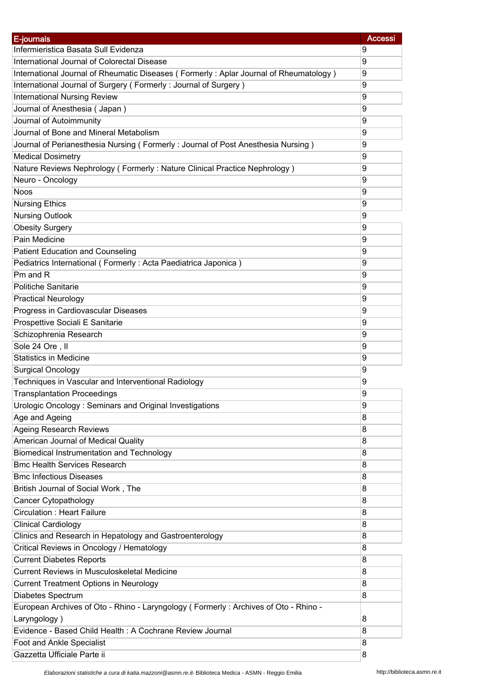| E-journals                                                                            | <b>Accessi</b> |
|---------------------------------------------------------------------------------------|----------------|
| Infermieristica Basata Sull Evidenza                                                  | 9              |
| International Journal of Colorectal Disease                                           | 9              |
| International Journal of Rheumatic Diseases (Formerly: Aplar Journal of Rheumatology) | 9              |
| International Journal of Surgery (Formerly: Journal of Surgery)                       | 9              |
| <b>International Nursing Review</b>                                                   | 9              |
| Journal of Anesthesia (Japan)                                                         | 9              |
| Journal of Autoimmunity                                                               | 9              |
| Journal of Bone and Mineral Metabolism                                                | 9              |
| Journal of Perianesthesia Nursing (Formerly: Journal of Post Anesthesia Nursing)      | 9              |
| <b>Medical Dosimetry</b>                                                              | 9              |
| Nature Reviews Nephrology (Formerly: Nature Clinical Practice Nephrology)             | 9              |
| Neuro - Oncology                                                                      | 9              |
| <b>Noos</b>                                                                           | 9              |
| <b>Nursing Ethics</b>                                                                 | 9              |
| <b>Nursing Outlook</b>                                                                | 9              |
| <b>Obesity Surgery</b>                                                                | 9              |
| Pain Medicine                                                                         | 9              |
|                                                                                       |                |
| <b>Patient Education and Counseling</b>                                               | 9              |
| Pediatrics International (Formerly: Acta Paediatrica Japonica)                        | 9              |
| Pm and R                                                                              | 9              |
| <b>Politiche Sanitarie</b>                                                            | 9              |
| <b>Practical Neurology</b>                                                            | 9              |
| Progress in Cardiovascular Diseases                                                   | 9              |
| Prospettive Sociali E Sanitarie                                                       | 9              |
| Schizophrenia Research                                                                | 9              |
| Sole 24 Ore, II                                                                       | 9              |
| <b>Statistics in Medicine</b>                                                         | 9              |
| <b>Surgical Oncology</b>                                                              | 9              |
| Techniques in Vascular and Interventional Radiology                                   | 9              |
| <b>Transplantation Proceedings</b>                                                    | 9              |
| Urologic Oncology: Seminars and Original Investigations                               | 9              |
| Age and Ageing                                                                        | 8              |
| <b>Ageing Research Reviews</b>                                                        | 8              |
| American Journal of Medical Quality                                                   | 8              |
| Biomedical Instrumentation and Technology                                             | 8              |
| <b>Bmc Health Services Research</b>                                                   | 8              |
| <b>Bmc Infectious Diseases</b>                                                        | 8              |
| British Journal of Social Work, The                                                   | 8              |
| Cancer Cytopathology                                                                  | 8              |
| <b>Circulation: Heart Failure</b>                                                     | 8              |
| <b>Clinical Cardiology</b>                                                            | 8              |
| Clinics and Research in Hepatology and Gastroenterology                               | 8              |
| Critical Reviews in Oncology / Hematology                                             | 8              |
| <b>Current Diabetes Reports</b>                                                       | 8              |
| <b>Current Reviews in Musculoskeletal Medicine</b>                                    | 8              |
| <b>Current Treatment Options in Neurology</b>                                         | 8              |
| Diabetes Spectrum                                                                     | 8              |
| European Archives of Oto - Rhino - Laryngology (Formerly: Archives of Oto - Rhino -   |                |
| Laryngology)                                                                          | 8              |
| Evidence - Based Child Health: A Cochrane Review Journal                              | 8              |
| Foot and Ankle Specialist                                                             | 8              |
| Gazzetta Ufficiale Parte ii                                                           | 8              |

*Elaborazioni statistiche a cura di katia.mazzoni@asmn.re.it*- Biblioteca Medica - ASMN - Reggio Emilia http://biblioteca.asmn.re.it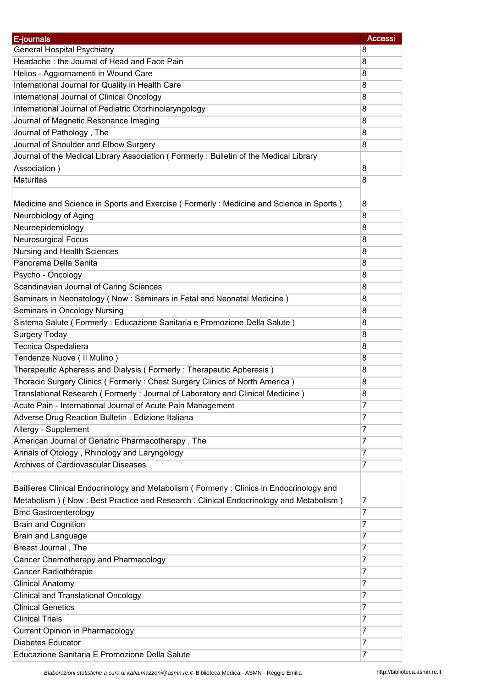| E-journals                                                                               | <b>Accessi</b> |
|------------------------------------------------------------------------------------------|----------------|
| <b>General Hospital Psychiatry</b>                                                       | 8              |
| Headache: the Journal of Head and Face Pain                                              | 8              |
| Helios - Aggiornamenti in Wound Care                                                     | 8              |
| International Journal for Quality in Health Care                                         | 8              |
| International Journal of Clinical Oncology                                               | 8              |
| International Journal of Pediatric Otorhinolaryngology                                   | 8              |
| Journal of Magnetic Resonance Imaging                                                    | 8              |
| Journal of Pathology, The                                                                | 8              |
| Journal of Shoulder and Elbow Surgery                                                    | 8              |
| Journal of the Medical Library Association (Formerly: Bulletin of the Medical Library    |                |
| Association)                                                                             | 8              |
| <b>Maturitas</b>                                                                         | 8              |
|                                                                                          |                |
| Medicine and Science in Sports and Exercise (Formerly: Medicine and Science in Sports)   | 8              |
| Neurobiology of Aging                                                                    | 8              |
| Neuroepidemiology                                                                        | 8              |
| <b>Neurosurgical Focus</b>                                                               | 8              |
| Nursing and Health Sciences                                                              | 8              |
| Panorama Della Sanita                                                                    | 8              |
| Psycho - Oncology                                                                        | 8              |
| Scandinavian Journal of Caring Sciences                                                  | 8              |
|                                                                                          |                |
| Seminars in Neonatology (Now: Seminars in Fetal and Neonatal Medicine)                   | 8              |
| Seminars in Oncology Nursing                                                             | 8              |
| Sistema Salute (Formerly: Educazione Sanitaria e Promozione Della Salute)                | 8              |
| <b>Surgery Today</b>                                                                     | 8              |
| Tecnica Ospedaliera                                                                      | 8              |
| Tendenze Nuove (Il Mulino)                                                               | 8              |
| Therapeutic Apheresis and Dialysis (Formerly: Therapeutic Apheresis)                     | 8              |
| Thoracic Surgery Clinics (Formerly: Chest Surgery Clinics of North America)              | 8              |
| Translational Research (Formerly: Journal of Laboratory and Clinical Medicine)           | 8              |
| Acute Pain - International Journal of Acute Pain Management                              | 7              |
| Adverse Drug Reaction Bulletin . Edizione Italiana                                       | 7              |
| Allergy - Supplement                                                                     | 7              |
| American Journal of Geriatric Pharmacotherapy, The                                       | 7              |
| Annals of Otology, Rhinology and Laryngology                                             | 7              |
| Archives of Cardiovascular Diseases                                                      | 7              |
|                                                                                          |                |
| Baillieres Clinical Endocrinology and Metabolism (Formerly: Clinics in Endocrinology and |                |
| Metabolism) (Now: Best Practice and Research . Clinical Endocrinology and Metabolism)    | 7              |
| <b>Bmc Gastroenterology</b>                                                              | 7              |
| <b>Brain and Cognition</b>                                                               | 7              |
| Brain and Language                                                                       | 7              |
| Breast Journal, The                                                                      | 7              |
| Cancer Chemotherapy and Pharmacology                                                     | 7              |
| Cancer Radiothérapie                                                                     | 7              |
| <b>Clinical Anatomy</b>                                                                  | 7              |
| <b>Clinical and Translational Oncology</b>                                               | 7              |
| <b>Clinical Genetics</b>                                                                 | 7              |
| <b>Clinical Trials</b>                                                                   | 7              |
| <b>Current Opinion in Pharmacology</b>                                                   | 7              |
| Diabetes Educator                                                                        | 7              |
| Educazione Sanitaria E Promozione Della Salute                                           | 7              |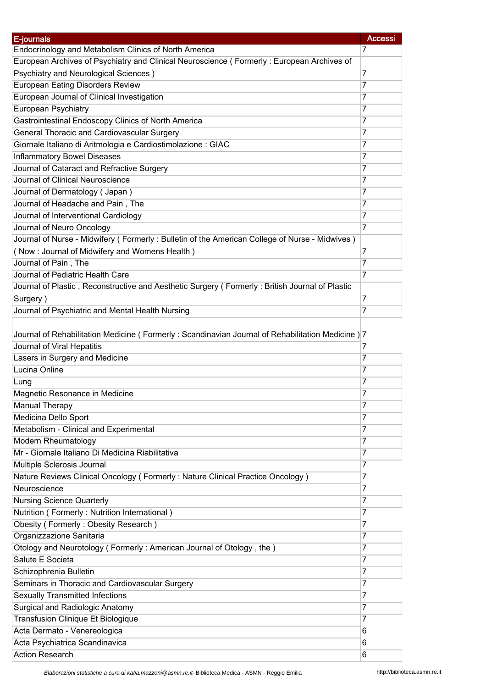| E-journals                                                                                          | <b>Accessi</b> |
|-----------------------------------------------------------------------------------------------------|----------------|
| Endocrinology and Metabolism Clinics of North America                                               | 7              |
| European Archives of Psychiatry and Clinical Neuroscience (Formerly: European Archives of           |                |
| Psychiatry and Neurological Sciences)                                                               | 7              |
| <b>European Eating Disorders Review</b>                                                             | 7              |
| European Journal of Clinical Investigation                                                          | 7              |
| European Psychiatry                                                                                 | 7              |
| Gastrointestinal Endoscopy Clinics of North America                                                 | 7              |
| General Thoracic and Cardiovascular Surgery                                                         | 7              |
| Giornale Italiano di Aritmologia e Cardiostimolazione : GIAC                                        | 7              |
| <b>Inflammatory Bowel Diseases</b>                                                                  | 7              |
| Journal of Cataract and Refractive Surgery                                                          | 7              |
| Journal of Clinical Neuroscience                                                                    | 7              |
| Journal of Dermatology (Japan)                                                                      | 7              |
| Journal of Headache and Pain, The                                                                   | 7              |
| Journal of Interventional Cardiology                                                                | 7              |
| Journal of Neuro Oncology                                                                           | $\overline{7}$ |
| Journal of Nurse - Midwifery (Formerly: Bulletin of the American College of Nurse - Midwives)       |                |
| (Now: Journal of Midwifery and Womens Health)                                                       | 7              |
| Journal of Pain, The                                                                                | $\overline{7}$ |
| Journal of Pediatric Health Care                                                                    | 7              |
| Journal of Plastic, Reconstructive and Aesthetic Surgery (Formerly: British Journal of Plastic      |                |
| Surgery)                                                                                            | 7              |
| Journal of Psychiatric and Mental Health Nursing                                                    | 7              |
|                                                                                                     |                |
| Journal of Rehabilitation Medicine ( Formerly : Scandinavian Journal of Rehabilitation Medicine ) 7 |                |
| Journal of Viral Hepatitis                                                                          | 7              |
| Lasers in Surgery and Medicine                                                                      | 7              |
| Lucina Online                                                                                       | 7              |
| Lung                                                                                                | 7              |
| Magnetic Resonance in Medicine                                                                      | 7              |
| <b>Manual Therapy</b>                                                                               | 7              |
| Medicina Dello Sport                                                                                | 7              |
| Metabolism - Clinical and Experimental                                                              | 7              |
| Modern Rheumatology                                                                                 | 7              |
| Mr - Giornale Italiano Di Medicina Riabilitativa                                                    | 7              |
| Multiple Sclerosis Journal                                                                          | 7              |
| Nature Reviews Clinical Oncology (Formerly: Nature Clinical Practice Oncology)                      | 7              |
| Neuroscience                                                                                        | 7              |
| <b>Nursing Science Quarterly</b>                                                                    | 7              |
| Nutrition (Formerly: Nutrition International)                                                       | 7              |
| Obesity (Formerly: Obesity Research)                                                                | 7              |
| Organizzazione Sanitaria                                                                            | 7              |
| Otology and Neurotology (Formerly: American Journal of Otology, the)                                | 7              |
| Salute E Societa                                                                                    | 7              |
| Schizophrenia Bulletin                                                                              | 7              |
| Seminars in Thoracic and Cardiovascular Surgery                                                     | 7              |
| <b>Sexually Transmitted Infections</b>                                                              | 7              |
| Surgical and Radiologic Anatomy                                                                     | 7              |
| Transfusion Clinique Et Biologique                                                                  | 7              |
| Acta Dermato - Venereologica                                                                        | 6              |
| Acta Psychiatrica Scandinavica                                                                      | 6              |
| <b>Action Research</b>                                                                              | 6              |
|                                                                                                     |                |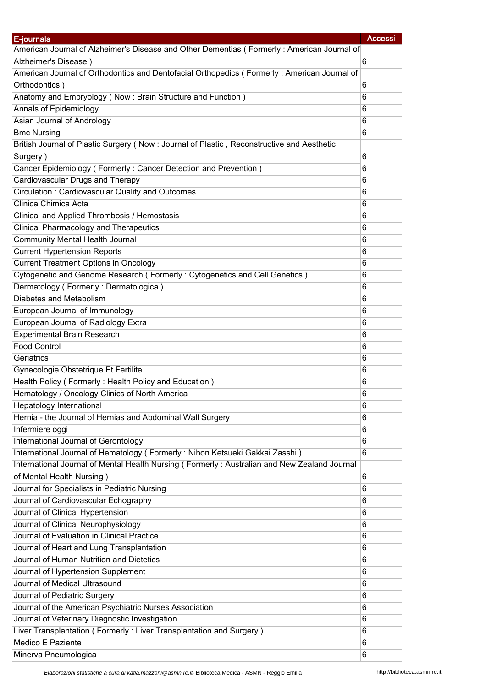| E-journals                                                                                   | <b>Accessi</b> |
|----------------------------------------------------------------------------------------------|----------------|
| American Journal of Alzheimer's Disease and Other Dementias (Formerly: American Journal of   |                |
| Alzheimer's Disease)                                                                         | 6              |
| American Journal of Orthodontics and Dentofacial Orthopedics (Formerly: American Journal of  |                |
| Orthodontics)                                                                                | 6              |
| Anatomy and Embryology (Now: Brain Structure and Function)                                   | 6              |
| Annals of Epidemiology                                                                       | 6              |
| Asian Journal of Andrology                                                                   | 6              |
| <b>Bmc Nursing</b>                                                                           | 6              |
| British Journal of Plastic Surgery (Now : Journal of Plastic, Reconstructive and Aesthetic   |                |
| Surgery)                                                                                     | 6              |
| Cancer Epidemiology (Formerly: Cancer Detection and Prevention)                              | 6              |
| Cardiovascular Drugs and Therapy                                                             | 6              |
| Circulation: Cardiovascular Quality and Outcomes                                             | 6              |
| Clinica Chimica Acta                                                                         | 6              |
| Clinical and Applied Thrombosis / Hemostasis                                                 | 6              |
| <b>Clinical Pharmacology and Therapeutics</b>                                                | 6              |
| <b>Community Mental Health Journal</b>                                                       | 6              |
| <b>Current Hypertension Reports</b>                                                          | 6              |
| <b>Current Treatment Options in Oncology</b>                                                 | 6              |
| Cytogenetic and Genome Research (Formerly: Cytogenetics and Cell Genetics)                   | 6              |
| Dermatology (Formerly: Dermatologica)                                                        | 6              |
| Diabetes and Metabolism                                                                      | 6              |
| European Journal of Immunology                                                               | 6              |
| European Journal of Radiology Extra                                                          | 6              |
| Experimental Brain Research                                                                  | 6              |
| <b>Food Control</b>                                                                          | 6              |
| Geriatrics                                                                                   | 6              |
| Gynecologie Obstetrique Et Fertilite                                                         | 6              |
| Health Policy (Formerly: Health Policy and Education)                                        | 6              |
| Hematology / Oncology Clinics of North America                                               | 6              |
| Hepatology International                                                                     | 6              |
| Hernia - the Journal of Hernias and Abdominal Wall Surgery                                   | 6              |
| Infermiere oggi                                                                              | 6              |
| International Journal of Gerontology                                                         | 6              |
| International Journal of Hematology (Formerly: Nihon Ketsueki Gakkai Zasshi)                 | 6              |
| International Journal of Mental Health Nursing (Formerly: Australian and New Zealand Journal |                |
| of Mental Health Nursing)                                                                    | 6              |
| Journal for Specialists in Pediatric Nursing                                                 | 6              |
| Journal of Cardiovascular Echography                                                         | 6              |
| Journal of Clinical Hypertension                                                             | 6              |
| Journal of Clinical Neurophysiology                                                          | 6              |
| Journal of Evaluation in Clinical Practice                                                   | 6              |
| Journal of Heart and Lung Transplantation                                                    | 6              |
| Journal of Human Nutrition and Dietetics                                                     | 6              |
| Journal of Hypertension Supplement                                                           | 6              |
| Journal of Medical Ultrasound                                                                | 6              |
| Journal of Pediatric Surgery                                                                 | 6              |
| Journal of the American Psychiatric Nurses Association                                       | 6              |
| Journal of Veterinary Diagnostic Investigation                                               | 6              |
| Liver Transplantation (Formerly: Liver Transplantation and Surgery)                          | 6              |
| Medico E Paziente                                                                            | 6              |
| Minerva Pneumologica                                                                         | 6              |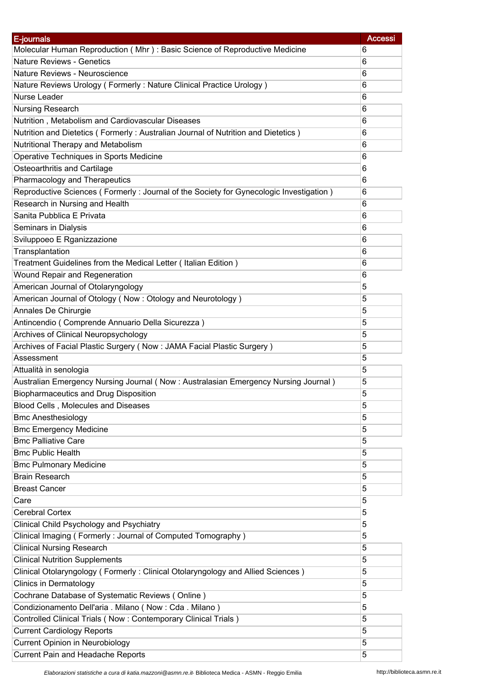| E-journals                                                                             | <b>Accessi</b> |
|----------------------------------------------------------------------------------------|----------------|
| Molecular Human Reproduction (Mhr): Basic Science of Reproductive Medicine             | 6              |
| <b>Nature Reviews - Genetics</b>                                                       | 6              |
| Nature Reviews - Neuroscience                                                          | 6              |
| Nature Reviews Urology (Formerly: Nature Clinical Practice Urology)                    | 6              |
| Nurse Leader                                                                           | 6              |
| Nursing Research                                                                       | 6              |
| Nutrition, Metabolism and Cardiovascular Diseases                                      | 6              |
| Nutrition and Dietetics (Formerly: Australian Journal of Nutrition and Dietetics)      | 6              |
| Nutritional Therapy and Metabolism                                                     | 6              |
| Operative Techniques in Sports Medicine                                                | 6              |
| Osteoarthritis and Cartilage                                                           | 6              |
| Pharmacology and Therapeutics                                                          | 6              |
| Reproductive Sciences (Formerly: Journal of the Society for Gynecologic Investigation) | 6              |
|                                                                                        |                |
| Research in Nursing and Health<br>Sanita Pubblica E Privata                            | 6              |
|                                                                                        | 6              |
| Seminars in Dialysis                                                                   | 6              |
| Sviluppoeo E Rganizzazione                                                             | 6              |
| Transplantation                                                                        | 6              |
| Treatment Guidelines from the Medical Letter (Italian Edition)                         | 6              |
| Wound Repair and Regeneration                                                          | 6              |
| American Journal of Otolaryngology                                                     | 5              |
| American Journal of Otology (Now: Otology and Neurotology)                             | 5              |
| Annales De Chirurgie                                                                   | 5              |
| Antincendio (Comprende Annuario Della Sicurezza)                                       | 5              |
| Archives of Clinical Neuropsychology                                                   | 5              |
| Archives of Facial Plastic Surgery (Now: JAMA Facial Plastic Surgery)                  | 5              |
| Assessment                                                                             | 5              |
| Attualità in senologia                                                                 | 5              |
| Australian Emergency Nursing Journal (Now: Australasian Emergency Nursing Journal)     | 5              |
| <b>Biopharmaceutics and Drug Disposition</b>                                           | 5              |
| Blood Cells, Molecules and Diseases                                                    | 5              |
| <b>Bmc Anesthesiology</b>                                                              | 5              |
| <b>Bmc Emergency Medicine</b>                                                          | 5              |
| <b>Bmc Palliative Care</b>                                                             | 5              |
| <b>Bmc Public Health</b>                                                               | 5              |
| <b>Bmc Pulmonary Medicine</b>                                                          | 5              |
| <b>Brain Research</b>                                                                  | 5              |
| <b>Breast Cancer</b>                                                                   | 5              |
| Care                                                                                   | 5              |
| <b>Cerebral Cortex</b>                                                                 | 5              |
| Clinical Child Psychology and Psychiatry                                               | 5              |
| Clinical Imaging (Formerly: Journal of Computed Tomography)                            | 5              |
| <b>Clinical Nursing Research</b>                                                       | 5              |
| <b>Clinical Nutrition Supplements</b>                                                  | 5              |
| Clinical Otolaryngology (Formerly: Clinical Otolaryngology and Allied Sciences)        | 5              |
| <b>Clinics in Dermatology</b>                                                          | 5              |
| Cochrane Database of Systematic Reviews (Online)                                       | 5              |
| Condizionamento Dell'aria . Milano (Now : Cda . Milano)                                | 5              |
| Controlled Clinical Trials (Now: Contemporary Clinical Trials)                         | 5              |
|                                                                                        |                |
| <b>Current Cardiology Reports</b>                                                      | 5              |
| <b>Current Opinion in Neurobiology</b>                                                 | 5              |
| Current Pain and Headache Reports                                                      | 5              |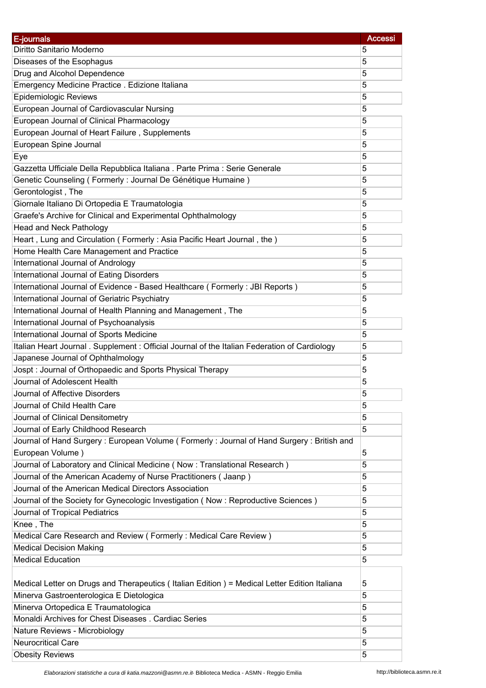| E-journals                                                                                    | <b>Accessi</b> |
|-----------------------------------------------------------------------------------------------|----------------|
| Diritto Sanitario Moderno                                                                     | 5              |
| Diseases of the Esophagus                                                                     | 5              |
| Drug and Alcohol Dependence                                                                   | 5              |
| Emergency Medicine Practice . Edizione Italiana                                               | 5              |
| Epidemiologic Reviews                                                                         | 5              |
| European Journal of Cardiovascular Nursing                                                    | 5              |
| European Journal of Clinical Pharmacology                                                     | 5              |
| European Journal of Heart Failure, Supplements                                                | 5              |
| European Spine Journal                                                                        | 5              |
| Eye                                                                                           | 5              |
| Gazzetta Ufficiale Della Repubblica Italiana. Parte Prima : Serie Generale                    | 5              |
| Genetic Counseling (Formerly : Journal De Génétique Humaine)                                  | 5              |
| Gerontologist, The                                                                            | 5              |
|                                                                                               |                |
| Giornale Italiano Di Ortopedia E Traumatologia                                                | 5              |
| Graefe's Archive for Clinical and Experimental Ophthalmology                                  | 5              |
| <b>Head and Neck Pathology</b>                                                                | 5              |
| Heart, Lung and Circulation (Formerly: Asia Pacific Heart Journal, the)                       | 5              |
| Home Health Care Management and Practice                                                      | 5              |
| International Journal of Andrology                                                            | 5              |
| International Journal of Eating Disorders                                                     | 5              |
| International Journal of Evidence - Based Healthcare (Formerly: JBI Reports)                  | 5              |
| International Journal of Geriatric Psychiatry                                                 | 5              |
| International Journal of Health Planning and Management, The                                  | 5              |
| International Journal of Psychoanalysis                                                       | 5              |
| International Journal of Sports Medicine                                                      | 5              |
| Italian Heart Journal . Supplement : Official Journal of the Italian Federation of Cardiology | 5              |
| Japanese Journal of Ophthalmology                                                             | 5              |
| Jospt: Journal of Orthopaedic and Sports Physical Therapy                                     | 5              |
| Journal of Adolescent Health                                                                  | 5              |
| Journal of Affective Disorders                                                                | 5              |
| Journal of Child Health Care                                                                  | 5              |
| Journal of Clinical Densitometry                                                              | 5              |
| Journal of Early Childhood Research                                                           | 5              |
| Journal of Hand Surgery: European Volume (Formerly: Journal of Hand Surgery: British and      |                |
| European Volume)                                                                              | 5              |
| Journal of Laboratory and Clinical Medicine (Now: Translational Research)                     | 5              |
| Journal of the American Academy of Nurse Practitioners (Jaanp)                                | 5              |
| Journal of the American Medical Directors Association                                         | 5              |
| Journal of the Society for Gynecologic Investigation (Now: Reproductive Sciences)             | 5              |
| Journal of Tropical Pediatrics                                                                | 5              |
| Knee, The                                                                                     | 5              |
| Medical Care Research and Review (Formerly: Medical Care Review)                              | 5              |
| <b>Medical Decision Making</b>                                                                | 5              |
| <b>Medical Education</b>                                                                      | 5              |
|                                                                                               |                |
| Medical Letter on Drugs and Therapeutics (Italian Edition) = Medical Letter Edition Italiana  | 5              |
| Minerva Gastroenterologica E Dietologica                                                      | 5              |
| Minerva Ortopedica E Traumatologica                                                           | 5              |
| Monaldi Archives for Chest Diseases . Cardiac Series                                          | 5              |
| Nature Reviews - Microbiology                                                                 | 5              |
| <b>Neurocritical Care</b>                                                                     | 5              |
| <b>Obesity Reviews</b>                                                                        | 5              |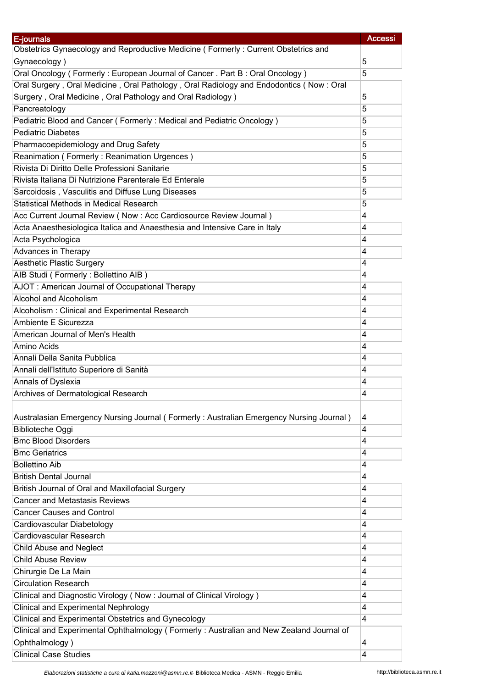| E-journals                                                                               | <b>Accessi</b> |
|------------------------------------------------------------------------------------------|----------------|
| Obstetrics Gynaecology and Reproductive Medicine (Formerly: Current Obstetrics and       |                |
| Gynaecology)                                                                             | 5              |
| Oral Oncology (Formerly: European Journal of Cancer. Part B: Oral Oncology)              | 5              |
| Oral Surgery, Oral Medicine, Oral Pathology, Oral Radiology and Endodontics (Now: Oral   |                |
| Surgery, Oral Medicine, Oral Pathology and Oral Radiology)                               | 5              |
| Pancreatology                                                                            | 5              |
| Pediatric Blood and Cancer (Formerly: Medical and Pediatric Oncology)                    | 5              |
| <b>Pediatric Diabetes</b>                                                                | 5              |
| Pharmacoepidemiology and Drug Safety                                                     | 5              |
| Reanimation (Formerly: Reanimation Urgences)                                             | 5              |
| Rivista Di Diritto Delle Professioni Sanitarie                                           | 5              |
| Rivista Italiana Di Nutrizione Parenterale Ed Enterale                                   | 5              |
| Sarcoidosis, Vasculitis and Diffuse Lung Diseases                                        | 5              |
| Statistical Methods in Medical Research                                                  | 5              |
|                                                                                          |                |
| Acc Current Journal Review (Now : Acc Cardiosource Review Journal)                       | 4              |
| Acta Anaesthesiologica Italica and Anaesthesia and Intensive Care in Italy               | 4              |
| Acta Psychologica                                                                        | 4              |
| Advances in Therapy                                                                      | 4              |
| <b>Aesthetic Plastic Surgery</b>                                                         | 4              |
| AIB Studi (Formerly: Bollettino AIB)                                                     | 4              |
| AJOT : American Journal of Occupational Therapy                                          | 4              |
| Alcohol and Alcoholism                                                                   | 4              |
| Alcoholism: Clinical and Experimental Research                                           | 4              |
| Ambiente E Sicurezza                                                                     | 4              |
| American Journal of Men's Health                                                         | $\overline{4}$ |
| Amino Acids                                                                              | 4              |
| Annali Della Sanita Pubblica                                                             | 4              |
| Annali dell'Istituto Superiore di Sanità                                                 | 4              |
| Annals of Dyslexia                                                                       | 4              |
| Archives of Dermatological Research                                                      | 4              |
|                                                                                          |                |
| Australasian Emergency Nursing Journal (Formerly: Australian Emergency Nursing Journal)  | 4              |
| <b>Biblioteche Oggi</b>                                                                  | 4              |
| <b>Bmc Blood Disorders</b>                                                               | 4              |
| <b>Bmc Geriatrics</b>                                                                    | 4              |
| <b>Bollettino Aib</b>                                                                    | 4              |
| <b>British Dental Journal</b>                                                            | 4              |
| British Journal of Oral and Maxillofacial Surgery                                        | 4              |
| <b>Cancer and Metastasis Reviews</b>                                                     | 4              |
| <b>Cancer Causes and Control</b>                                                         | 4              |
| Cardiovascular Diabetology                                                               | $\overline{4}$ |
| Cardiovascular Research                                                                  | 4              |
| Child Abuse and Neglect                                                                  | 4              |
| <b>Child Abuse Review</b>                                                                | 4              |
|                                                                                          | 4              |
| Chirurgie De La Main                                                                     |                |
| <b>Circulation Research</b>                                                              | $\overline{4}$ |
| Clinical and Diagnostic Virology (Now: Journal of Clinical Virology)                     | 4              |
| <b>Clinical and Experimental Nephrology</b>                                              | 4              |
| Clinical and Experimental Obstetrics and Gynecology                                      | $\overline{4}$ |
| Clinical and Experimental Ophthalmology (Formerly: Australian and New Zealand Journal of |                |
| Ophthalmology)                                                                           | 4              |
| <b>Clinical Case Studies</b>                                                             | 4              |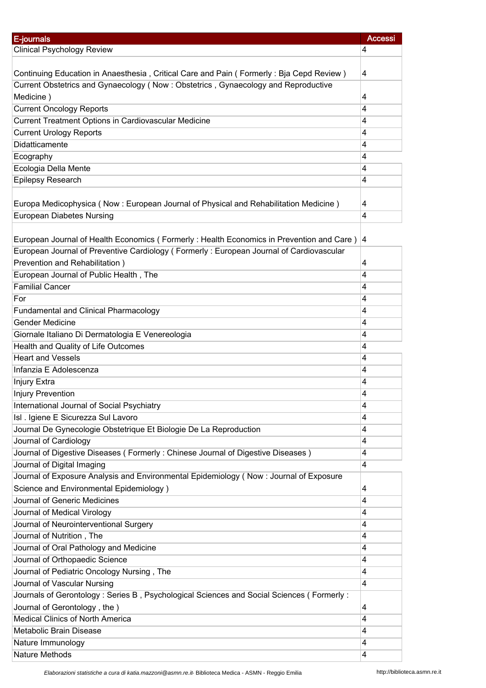| E-journals                                                                                 | <b>Accessi</b>      |
|--------------------------------------------------------------------------------------------|---------------------|
| <b>Clinical Psychology Review</b>                                                          | 4                   |
|                                                                                            |                     |
| Continuing Education in Anaesthesia, Critical Care and Pain (Formerly: Bja Cepd Review)    | $\overline{4}$      |
| Current Obstetrics and Gynaecology (Now: Obstetrics, Gynaecology and Reproductive          |                     |
| Medicine)                                                                                  | 4                   |
| <b>Current Oncology Reports</b>                                                            | 4                   |
| Current Treatment Options in Cardiovascular Medicine                                       | 4                   |
| <b>Current Urology Reports</b>                                                             | 4                   |
| Didatticamente                                                                             | $\overline{4}$      |
| Ecography                                                                                  | 4                   |
| Ecologia Della Mente                                                                       | $\overline{4}$      |
| Epilepsy Research                                                                          | 4                   |
|                                                                                            |                     |
| Europa Medicophysica (Now: European Journal of Physical and Rehabilitation Medicine)       | $\overline{4}$      |
| <b>European Diabetes Nursing</b>                                                           | $\overline{4}$      |
|                                                                                            |                     |
| European Journal of Health Economics (Formerly: Health Economics in Prevention and Care)   | 4                   |
| European Journal of Preventive Cardiology (Formerly: European Journal of Cardiovascular    |                     |
| Prevention and Rehabilitation)                                                             | 4                   |
| European Journal of Public Health, The                                                     | 4                   |
| <b>Familial Cancer</b>                                                                     | $\overline{4}$      |
| For                                                                                        | $\overline{4}$      |
| <b>Fundamental and Clinical Pharmacology</b>                                               | $\overline{4}$      |
| <b>Gender Medicine</b>                                                                     | $\overline{4}$      |
| Giornale Italiano Di Dermatologia E Venereologia                                           | 4                   |
| Health and Quality of Life Outcomes                                                        | 4                   |
| <b>Heart and Vessels</b>                                                                   | $\overline{4}$      |
| Infanzia E Adolescenza                                                                     | $\overline{4}$      |
|                                                                                            |                     |
| Injury Extra<br><b>Injury Prevention</b>                                                   | 4<br>4              |
|                                                                                            | $\overline{4}$      |
| International Journal of Social Psychiatry<br>Isl . Igiene E Sicurezza Sul Lavoro          | 4                   |
|                                                                                            |                     |
| Journal De Gynecologie Obstetrique Et Biologie De La Reproduction<br>Journal of Cardiology | 4<br>$\overline{4}$ |
| Journal of Digestive Diseases (Formerly: Chinese Journal of Digestive Diseases)            | 4                   |
| Journal of Digital Imaging                                                                 | $\overline{4}$      |
| Journal of Exposure Analysis and Environmental Epidemiology (Now: Journal of Exposure      |                     |
|                                                                                            |                     |
| Science and Environmental Epidemiology)<br>Journal of Generic Medicines                    | $\overline{4}$      |
|                                                                                            | 4                   |
| Journal of Medical Virology                                                                | $\overline{4}$      |
| Journal of Neurointerventional Surgery                                                     | 4                   |
| Journal of Nutrition, The                                                                  | $\overline{4}$      |
| Journal of Oral Pathology and Medicine                                                     | $\overline{4}$      |
| Journal of Orthopaedic Science                                                             | 4                   |
| Journal of Pediatric Oncology Nursing, The                                                 | 4                   |
| Journal of Vascular Nursing                                                                | $\overline{4}$      |
| Journals of Gerontology: Series B, Psychological Sciences and Social Sciences (Formerly:   |                     |
| Journal of Gerontology, the)                                                               | $\overline{4}$      |
| <b>Medical Clinics of North America</b>                                                    | 4                   |
| Metabolic Brain Disease                                                                    | 4                   |
| Nature Immunology                                                                          | 4                   |
| Nature Methods                                                                             | 4                   |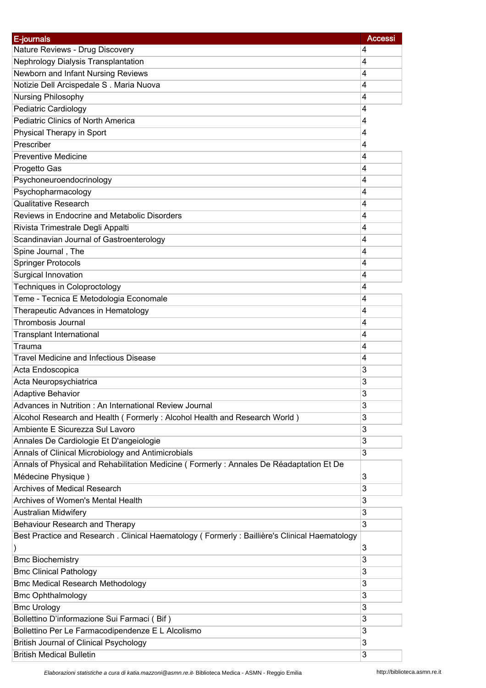| E-journals                                                                                    | <b>Accessi</b> |
|-----------------------------------------------------------------------------------------------|----------------|
| Nature Reviews - Drug Discovery<br>4                                                          |                |
| Nephrology Dialysis Transplantation<br>4                                                      |                |
| Newborn and Infant Nursing Reviews<br>4                                                       |                |
| Notizie Dell Arcispedale S. Maria Nuova<br>4                                                  |                |
| Nursing Philosophy<br>4                                                                       |                |
| Pediatric Cardiology<br>4                                                                     |                |
| Pediatric Clinics of North America<br>4                                                       |                |
| Physical Therapy in Sport<br>4                                                                |                |
| Prescriber<br>4                                                                               |                |
| <b>Preventive Medicine</b><br>4                                                               |                |
| 4<br>Progetto Gas                                                                             |                |
| Psychoneuroendocrinology<br>4                                                                 |                |
| Psychopharmacology<br>4                                                                       |                |
| <b>Qualitative Research</b><br>4                                                              |                |
| Reviews in Endocrine and Metabolic Disorders<br>4                                             |                |
| 4                                                                                             |                |
| Rivista Trimestrale Degli Appalti                                                             |                |
| Scandinavian Journal of Gastroenterology<br>4                                                 |                |
| Spine Journal, The<br>4                                                                       |                |
| <b>Springer Protocols</b><br>4                                                                |                |
| Surgical Innovation<br>4                                                                      |                |
| Techniques in Coloproctology<br>4                                                             |                |
| Teme - Tecnica E Metodologia Economale<br>4                                                   |                |
| Therapeutic Advances in Hematology<br>4                                                       |                |
| <b>Thrombosis Journal</b><br>4                                                                |                |
| <b>Transplant International</b><br>4                                                          |                |
| Trauma<br>4                                                                                   |                |
| <b>Travel Medicine and Infectious Disease</b><br>4                                            |                |
| 3<br>Acta Endoscopica                                                                         |                |
| Acta Neuropsychiatrica<br>3                                                                   |                |
| 3<br><b>Adaptive Behavior</b>                                                                 |                |
| Advances in Nutrition : An International Review Journal<br>3                                  |                |
| Alcohol Research and Health (Formerly: Alcohol Health and Research World)<br>3                |                |
| Ambiente E Sicurezza Sul Lavoro<br>3                                                          |                |
| Annales De Cardiologie Et D'angeiologie<br>3                                                  |                |
| Annals of Clinical Microbiology and Antimicrobials<br>3                                       |                |
| Annals of Physical and Rehabilitation Medicine (Formerly: Annales De Réadaptation Et De       |                |
| Médecine Physique)<br>3                                                                       |                |
| <b>Archives of Medical Research</b><br>3                                                      |                |
| Archives of Women's Mental Health<br>3                                                        |                |
| <b>Australian Midwifery</b><br>3                                                              |                |
| Behaviour Research and Therapy<br>3                                                           |                |
| Best Practice and Research . Clinical Haematology (Formerly: Baillière's Clinical Haematology |                |
| 3                                                                                             |                |
| <b>Bmc Biochemistry</b><br>3                                                                  |                |
| <b>Bmc Clinical Pathology</b><br>3                                                            |                |
| <b>Bmc Medical Research Methodology</b><br>3                                                  |                |
| <b>Bmc Ophthalmology</b><br>3                                                                 |                |
| <b>Bmc Urology</b><br>3                                                                       |                |
| Bollettino D'informazione Sui Farmaci (Bif)<br>3                                              |                |
| Bollettino Per Le Farmacodipendenze E L Alcolismo<br>3                                        |                |
| <b>British Journal of Clinical Psychology</b><br>3                                            |                |
| <b>British Medical Bulletin</b><br>3                                                          |                |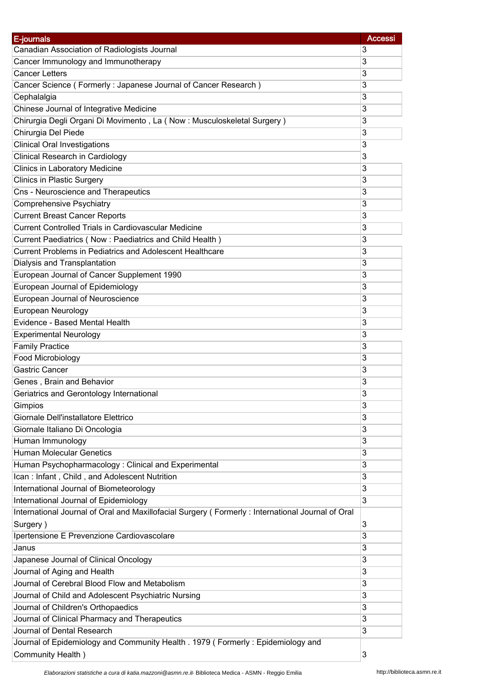| E-journals<br>Canadian Association of Radiologists Journal<br>3                                  |  |
|--------------------------------------------------------------------------------------------------|--|
|                                                                                                  |  |
| Cancer Immunology and Immunotherapy<br>3                                                         |  |
| <b>Cancer Letters</b><br>3                                                                       |  |
| Cancer Science (Formerly: Japanese Journal of Cancer Research)<br>3                              |  |
| Cephalalgia<br>3                                                                                 |  |
| 3<br>Chinese Journal of Integrative Medicine                                                     |  |
| Chirurgia Degli Organi Di Movimento, La (Now: Musculoskeletal Surgery)<br>3                      |  |
| Chirurgia Del Piede<br>3                                                                         |  |
| <b>Clinical Oral Investigations</b><br>3                                                         |  |
| <b>Clinical Research in Cardiology</b><br>3                                                      |  |
| Clinics in Laboratory Medicine<br>3                                                              |  |
| <b>Clinics in Plastic Surgery</b><br>3                                                           |  |
| Cns - Neuroscience and Therapeutics<br>3                                                         |  |
| <b>Comprehensive Psychiatry</b><br>3                                                             |  |
| <b>Current Breast Cancer Reports</b><br>3                                                        |  |
| <b>Current Controlled Trials in Cardiovascular Medicine</b><br>3                                 |  |
| Current Paediatrics (Now : Paediatrics and Child Health)<br>3                                    |  |
| Current Problems in Pediatrics and Adolescent Healthcare<br>3                                    |  |
| Dialysis and Transplantation<br>3                                                                |  |
| European Journal of Cancer Supplement 1990<br>3                                                  |  |
| European Journal of Epidemiology<br>3                                                            |  |
| European Journal of Neuroscience<br>3                                                            |  |
| European Neurology<br>3                                                                          |  |
| Evidence - Based Mental Health<br>3                                                              |  |
| 3<br><b>Experimental Neurology</b>                                                               |  |
| <b>Family Practice</b><br>3                                                                      |  |
| <b>Food Microbiology</b><br>3                                                                    |  |
| <b>Gastric Cancer</b><br>3                                                                       |  |
| Genes, Brain and Behavior<br>3                                                                   |  |
| 3<br>Geriatrics and Gerontology International                                                    |  |
| 3<br>Gimpios                                                                                     |  |
| Giornale Dell'installatore Elettrico<br>3                                                        |  |
| Giornale Italiano Di Oncologia<br>3                                                              |  |
| Human Immunology<br>3                                                                            |  |
| <b>Human Molecular Genetics</b><br>3                                                             |  |
| Human Psychopharmacology: Clinical and Experimental<br>3                                         |  |
| 3<br>Ican: Infant, Child, and Adolescent Nutrition                                               |  |
| International Journal of Biometeorology<br>3                                                     |  |
| International Journal of Epidemiology<br>3                                                       |  |
| International Journal of Oral and Maxillofacial Surgery (Formerly: International Journal of Oral |  |
| 3<br>Surgery)                                                                                    |  |
| Ipertensione E Prevenzione Cardiovascolare<br>3                                                  |  |
| Janus<br>3                                                                                       |  |
| 3<br>Japanese Journal of Clinical Oncology                                                       |  |
| Journal of Aging and Health<br>3                                                                 |  |
| Journal of Cerebral Blood Flow and Metabolism<br>3                                               |  |
| Journal of Child and Adolescent Psychiatric Nursing<br>3                                         |  |
| Journal of Children's Orthopaedics<br>3                                                          |  |
| Journal of Clinical Pharmacy and Therapeutics<br>3                                               |  |
| Journal of Dental Research<br>3                                                                  |  |
| Journal of Epidemiology and Community Health . 1979 (Formerly: Epidemiology and                  |  |
| Community Health)<br>3                                                                           |  |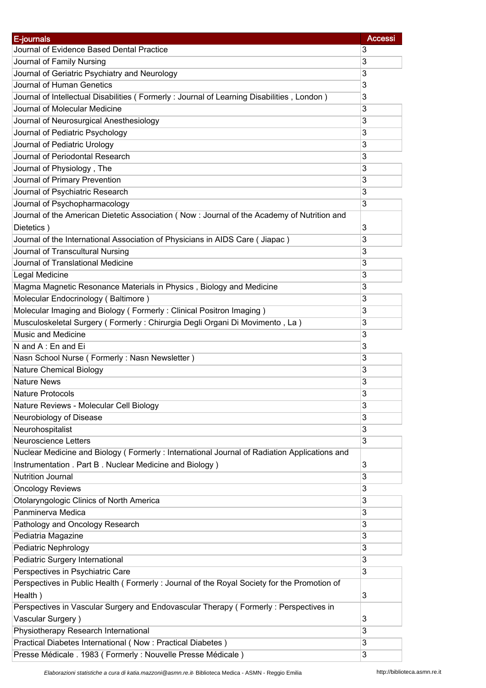| E-journals                                                                                  | <b>Accessi</b> |
|---------------------------------------------------------------------------------------------|----------------|
| Journal of Evidence Based Dental Practice                                                   | 3              |
| Journal of Family Nursing                                                                   | 3              |
| Journal of Geriatric Psychiatry and Neurology                                               | 3              |
| Journal of Human Genetics                                                                   | 3              |
| Journal of Intellectual Disabilities (Formerly : Journal of Learning Disabilities, London)  | 3              |
| Journal of Molecular Medicine                                                               | 3              |
| Journal of Neurosurgical Anesthesiology                                                     | 3              |
| Journal of Pediatric Psychology                                                             | 3              |
| Journal of Pediatric Urology                                                                | 3              |
| Journal of Periodontal Research                                                             | 3              |
| Journal of Physiology, The                                                                  | 3              |
| Journal of Primary Prevention                                                               | 3              |
| Journal of Psychiatric Research                                                             | 3              |
| Journal of Psychopharmacology                                                               | 3              |
| Journal of the American Dietetic Association (Now: Journal of the Academy of Nutrition and  |                |
|                                                                                             | 3              |
| Dietetics)                                                                                  |                |
| Journal of the International Association of Physicians in AIDS Care ( Jiapac )              | 3              |
| Journal of Transcultural Nursing                                                            | 3              |
| Journal of Translational Medicine                                                           | 3              |
| Legal Medicine                                                                              | 3              |
| Magma Magnetic Resonance Materials in Physics, Biology and Medicine                         | 3              |
| Molecular Endocrinology (Baltimore)                                                         | 3              |
| Molecular Imaging and Biology (Formerly: Clinical Positron Imaging)                         | 3              |
| Musculoskeletal Surgery (Formerly: Chirurgia Degli Organi Di Movimento, La)                 | 3              |
| Music and Medicine                                                                          | 3              |
| N and A: En and Ei                                                                          | 3              |
| Nasn School Nurse (Formerly: Nasn Newsletter)                                               | 3              |
| <b>Nature Chemical Biology</b>                                                              | 3              |
| <b>Nature News</b>                                                                          | 3              |
| Nature Protocols                                                                            | 3              |
| Nature Reviews - Molecular Cell Biology                                                     | 3              |
| Neurobiology of Disease                                                                     | 3              |
| Neurohospitalist                                                                            | 3              |
| <b>Neuroscience Letters</b>                                                                 | 3              |
| Nuclear Medicine and Biology (Formerly: International Journal of Radiation Applications and |                |
| Instrumentation . Part B. Nuclear Medicine and Biology)                                     | 3              |
| <b>Nutrition Journal</b>                                                                    | 3              |
| <b>Oncology Reviews</b>                                                                     | 3              |
| Otolaryngologic Clinics of North America                                                    | 3              |
| Panminerva Medica                                                                           | 3              |
| Pathology and Oncology Research                                                             | 3              |
| Pediatria Magazine                                                                          | 3              |
| Pediatric Nephrology                                                                        | 3              |
|                                                                                             |                |
| Pediatric Surgery International                                                             | 3              |
| Perspectives in Psychiatric Care                                                            | 3              |
| Perspectives in Public Health (Formerly: Journal of the Royal Society for the Promotion of  |                |
| Health)                                                                                     | 3              |
| Perspectives in Vascular Surgery and Endovascular Therapy (Formerly: Perspectives in        |                |
| Vascular Surgery)                                                                           | 3              |
| Physiotherapy Research International                                                        | 3              |
| Practical Diabetes International (Now: Practical Diabetes)                                  | 3              |
| Presse Médicale . 1983 (Formerly : Nouvelle Presse Médicale)                                | 3              |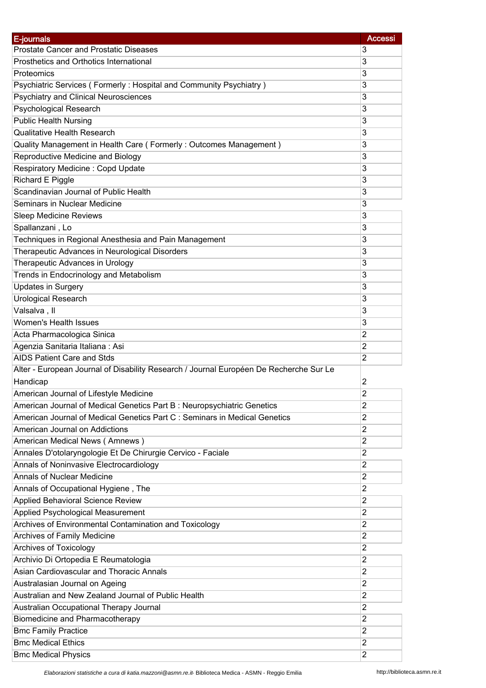| E-journals                                                                             | <b>Accessi</b> |
|----------------------------------------------------------------------------------------|----------------|
| <b>Prostate Cancer and Prostatic Diseases</b>                                          | 3              |
| Prosthetics and Orthotics International                                                | 3              |
| Proteomics                                                                             | 3              |
| Psychiatric Services (Formerly: Hospital and Community Psychiatry)                     | 3              |
| <b>Psychiatry and Clinical Neurosciences</b>                                           | 3              |
| Psychological Research                                                                 | 3              |
| <b>Public Health Nursing</b>                                                           | 3              |
| <b>Qualitative Health Research</b>                                                     | 3              |
| Quality Management in Health Care (Formerly: Outcomes Management)                      | 3              |
| Reproductive Medicine and Biology                                                      | 3              |
| Respiratory Medicine: Copd Update                                                      | 3              |
| Richard E Piggle                                                                       | 3              |
| Scandinavian Journal of Public Health                                                  | 3              |
| Seminars in Nuclear Medicine                                                           | 3              |
| <b>Sleep Medicine Reviews</b>                                                          | 3              |
|                                                                                        |                |
| Spallanzani, Lo                                                                        | 3              |
| Techniques in Regional Anesthesia and Pain Management                                  | 3              |
| Therapeutic Advances in Neurological Disorders                                         | 3              |
| Therapeutic Advances in Urology                                                        | 3              |
| Trends in Endocrinology and Metabolism                                                 | 3              |
| <b>Updates in Surgery</b>                                                              | 3              |
| <b>Urological Research</b>                                                             | 3              |
| Valsalva, II                                                                           | 3              |
| Women's Health Issues                                                                  | 3              |
| Acta Pharmacologica Sinica                                                             | $\overline{c}$ |
| Agenzia Sanitaria Italiana: Asi                                                        | $\overline{2}$ |
| AIDS Patient Care and Stds                                                             | $\overline{2}$ |
| Alter - European Journal of Disability Research / Journal Européen De Recherche Sur Le |                |
| Handicap                                                                               | $\overline{2}$ |
| American Journal of Lifestyle Medicine                                                 | $\overline{2}$ |
| American Journal of Medical Genetics Part B: Neuropsychiatric Genetics                 | $\overline{2}$ |
| American Journal of Medical Genetics Part C : Seminars in Medical Genetics             | $\overline{2}$ |
| American Journal on Addictions                                                         | $\overline{2}$ |
| American Medical News (Amnews)                                                         | $\overline{2}$ |
| Annales D'otolaryngologie Et De Chirurgie Cervico - Faciale                            | $\overline{2}$ |
| Annals of Noninvasive Electrocardiology                                                | $\overline{2}$ |
| <b>Annals of Nuclear Medicine</b>                                                      | $\overline{2}$ |
| Annals of Occupational Hygiene, The                                                    | $\overline{2}$ |
| Applied Behavioral Science Review                                                      | $\overline{2}$ |
| Applied Psychological Measurement                                                      | $\overline{2}$ |
| Archives of Environmental Contamination and Toxicology                                 | $\overline{2}$ |
| Archives of Family Medicine                                                            | $\overline{2}$ |
| <b>Archives of Toxicology</b>                                                          | $\overline{2}$ |
| Archivio Di Ortopedia E Reumatologia                                                   | $\overline{c}$ |
| Asian Cardiovascular and Thoracic Annals                                               | $\overline{2}$ |
| Australasian Journal on Ageing                                                         | $\overline{2}$ |
| Australian and New Zealand Journal of Public Health                                    | $\overline{2}$ |
| Australian Occupational Therapy Journal                                                | $\overline{2}$ |
|                                                                                        | $\overline{2}$ |
| Biomedicine and Pharmacotherapy                                                        |                |
| <b>Bmc Family Practice</b>                                                             | $\overline{2}$ |
| <b>Bmc Medical Ethics</b>                                                              | $\overline{2}$ |
| <b>Bmc Medical Physics</b>                                                             | $\overline{2}$ |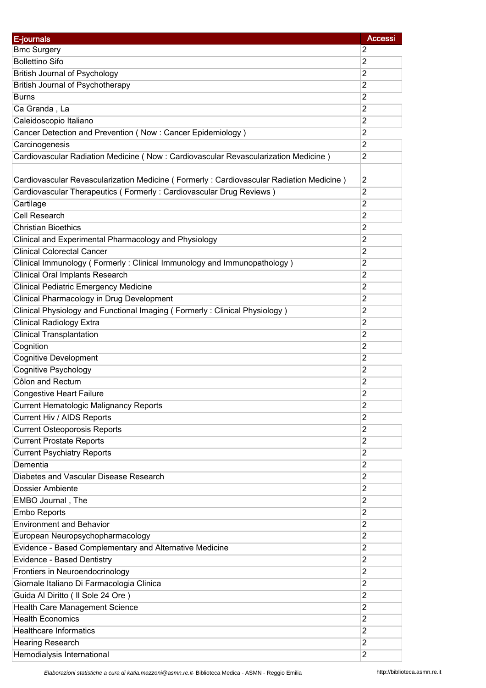| E-journals                                                                              | <b>Accessi</b> |
|-----------------------------------------------------------------------------------------|----------------|
| <b>Bmc Surgery</b>                                                                      | $\overline{2}$ |
| <b>Bollettino Sifo</b>                                                                  | $\overline{2}$ |
| <b>British Journal of Psychology</b>                                                    | $\overline{2}$ |
| <b>British Journal of Psychotherapy</b>                                                 | $\overline{2}$ |
| <b>Burns</b>                                                                            | $\overline{2}$ |
| Ca Granda, La                                                                           | $\overline{2}$ |
| Caleidoscopio Italiano                                                                  | $\overline{2}$ |
| Cancer Detection and Prevention (Now: Cancer Epidemiology)                              | $\overline{2}$ |
| Carcinogenesis                                                                          | $\overline{2}$ |
| Cardiovascular Radiation Medicine (Now: Cardiovascular Revascularization Medicine)      | $\overline{c}$ |
|                                                                                         |                |
| Cardiovascular Revascularization Medicine (Formerly: Cardiovascular Radiation Medicine) | $\overline{2}$ |
| Cardiovascular Therapeutics (Formerly: Cardiovascular Drug Reviews)                     | $\overline{2}$ |
| Cartilage                                                                               | $\overline{2}$ |
| <b>Cell Research</b>                                                                    | $\overline{2}$ |
| <b>Christian Bioethics</b>                                                              | $\overline{2}$ |
| Clinical and Experimental Pharmacology and Physiology                                   | $\overline{2}$ |
| <b>Clinical Colorectal Cancer</b>                                                       | $\overline{2}$ |
| Clinical Immunology (Formerly: Clinical Immunology and Immunopathology)                 | $\overline{2}$ |
| <b>Clinical Oral Implants Research</b>                                                  | $\overline{c}$ |
| <b>Clinical Pediatric Emergency Medicine</b>                                            | $\overline{2}$ |
| Clinical Pharmacology in Drug Development                                               | $\overline{2}$ |
| Clinical Physiology and Functional Imaging (Formerly: Clinical Physiology)              | $\overline{2}$ |
| <b>Clinical Radiology Extra</b>                                                         | $\overline{2}$ |
| <b>Clinical Transplantation</b>                                                         | $\overline{2}$ |
| Cognition                                                                               | 2              |
| <b>Cognitive Development</b>                                                            | $\overline{2}$ |
| <b>Cognitive Psychology</b>                                                             | $\overline{2}$ |
| Côlon and Rectum                                                                        | $\overline{2}$ |
| <b>Congestive Heart Failure</b>                                                         | 2              |
| <b>Current Hematologic Malignancy Reports</b>                                           | 2              |
| Current Hiv / AIDS Reports                                                              | $\overline{2}$ |
| <b>Current Osteoporosis Reports</b>                                                     | $\overline{2}$ |
| <b>Current Prostate Reports</b>                                                         | $\overline{2}$ |
| <b>Current Psychiatry Reports</b>                                                       | $\overline{2}$ |
| Dementia                                                                                | $\overline{2}$ |
| Diabetes and Vascular Disease Research                                                  | $\overline{2}$ |
| <b>Dossier Ambiente</b>                                                                 | $\overline{2}$ |
| EMBO Journal, The                                                                       | $\overline{2}$ |
|                                                                                         | $\overline{2}$ |
| Embo Reports<br><b>Environment and Behavior</b>                                         | $\overline{2}$ |
|                                                                                         | $\overline{c}$ |
| European Neuropsychopharmacology                                                        | $\overline{2}$ |
| Evidence - Based Complementary and Alternative Medicine                                 |                |
| Evidence - Based Dentistry                                                              | $\overline{2}$ |
| Frontiers in Neuroendocrinology                                                         | $\overline{2}$ |
| Giornale Italiano Di Farmacologia Clinica                                               | $\overline{c}$ |
| Guida Al Diritto ( Il Sole 24 Ore )                                                     | $\overline{2}$ |
| Health Care Management Science                                                          | $\overline{2}$ |
| <b>Health Economics</b>                                                                 | $\overline{2}$ |
| <b>Healthcare Informatics</b>                                                           | 2              |
| <b>Hearing Research</b>                                                                 | $\overline{2}$ |
| Hemodialysis International                                                              | $\overline{2}$ |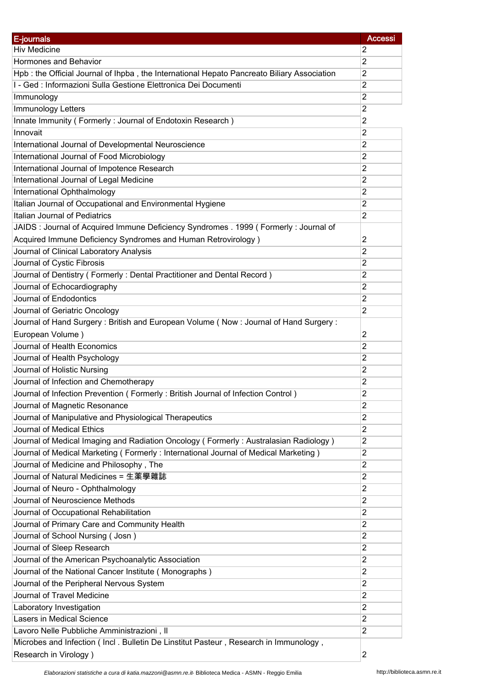| E-journals                                                                                                                         | <b>Accessi</b> |
|------------------------------------------------------------------------------------------------------------------------------------|----------------|
| <b>Hiv Medicine</b>                                                                                                                | $\overline{2}$ |
| Hormones and Behavior                                                                                                              | $\overline{2}$ |
| Hpb: the Official Journal of Ihpba, the International Hepato Pancreato Biliary Association                                         | $\overline{2}$ |
| I - Ged : Informazioni Sulla Gestione Elettronica Dei Documenti                                                                    | $\overline{2}$ |
| Immunology                                                                                                                         | 2              |
| Immunology Letters                                                                                                                 | $\overline{2}$ |
| Innate Immunity (Formerly: Journal of Endotoxin Research)                                                                          | $\overline{c}$ |
| Innovait                                                                                                                           | $\overline{2}$ |
| International Journal of Developmental Neuroscience                                                                                | $\overline{2}$ |
| International Journal of Food Microbiology                                                                                         | 2              |
| International Journal of Impotence Research                                                                                        | $\overline{2}$ |
| International Journal of Legal Medicine                                                                                            | 2              |
| International Ophthalmology                                                                                                        | 2              |
| Italian Journal of Occupational and Environmental Hygiene                                                                          | $\overline{2}$ |
| Italian Journal of Pediatrics                                                                                                      | $\overline{2}$ |
| JAIDS : Journal of Acquired Immune Deficiency Syndromes . 1999 ( Formerly : Journal of                                             |                |
|                                                                                                                                    | $\overline{2}$ |
| Acquired Immune Deficiency Syndromes and Human Retrovirology)                                                                      |                |
| Journal of Clinical Laboratory Analysis                                                                                            | 2              |
| Journal of Cystic Fibrosis                                                                                                         | 2              |
| Journal of Dentistry (Formerly: Dental Practitioner and Dental Record)                                                             | $\overline{2}$ |
| Journal of Echocardiography                                                                                                        | $\overline{2}$ |
| Journal of Endodontics                                                                                                             | $\overline{2}$ |
| Journal of Geriatric Oncology                                                                                                      | $\overline{2}$ |
| Journal of Hand Surgery: British and European Volume (Now: Journal of Hand Surgery:                                                |                |
| European Volume)                                                                                                                   | 2              |
| Journal of Health Economics                                                                                                        | $\overline{2}$ |
| Journal of Health Psychology                                                                                                       | 2              |
| Journal of Holistic Nursing                                                                                                        | $\overline{2}$ |
| Journal of Infection and Chemotherapy                                                                                              | 2              |
| Journal of Infection Prevention (Formerly: British Journal of Infection Control)                                                   | 2              |
| Journal of Magnetic Resonance                                                                                                      | 2              |
| Journal of Manipulative and Physiological Therapeutics                                                                             | $\overline{c}$ |
| Journal of Medical Ethics                                                                                                          | $\overline{2}$ |
| Journal of Medical Imaging and Radiation Oncology (Formerly: Australasian Radiology)                                               | $\overline{2}$ |
| Journal of Medical Marketing (Formerly: International Journal of Medical Marketing)                                                | $\overline{c}$ |
| Journal of Medicine and Philosophy, The                                                                                            | $\overline{2}$ |
| Journal of Natural Medicines = 生薬學雜誌                                                                                               | 2              |
| Journal of Neuro - Ophthalmology                                                                                                   | 2              |
| Journal of Neuroscience Methods                                                                                                    | $\overline{2}$ |
| Journal of Occupational Rehabilitation                                                                                             | $\overline{c}$ |
| Journal of Primary Care and Community Health                                                                                       | $\overline{c}$ |
| Journal of School Nursing (Josn)                                                                                                   | $\overline{c}$ |
| Journal of Sleep Research                                                                                                          | $\overline{2}$ |
| Journal of the American Psychoanalytic Association                                                                                 | $\overline{c}$ |
| Journal of the National Cancer Institute (Monographs)                                                                              | $\overline{2}$ |
| Journal of the Peripheral Nervous System                                                                                           | $\overline{c}$ |
| Journal of Travel Medicine                                                                                                         | $\overline{c}$ |
| Laboratory Investigation                                                                                                           | $\overline{2}$ |
| Lasers in Medical Science                                                                                                          | $\overline{c}$ |
|                                                                                                                                    | $\overline{2}$ |
| Lavoro Nelle Pubbliche Amministrazioni, Il<br>Microbes and Infection (Incl. Bulletin De Linstitut Pasteur, Research in Immunology, |                |
|                                                                                                                                    | $\overline{2}$ |
| Research in Virology)                                                                                                              |                |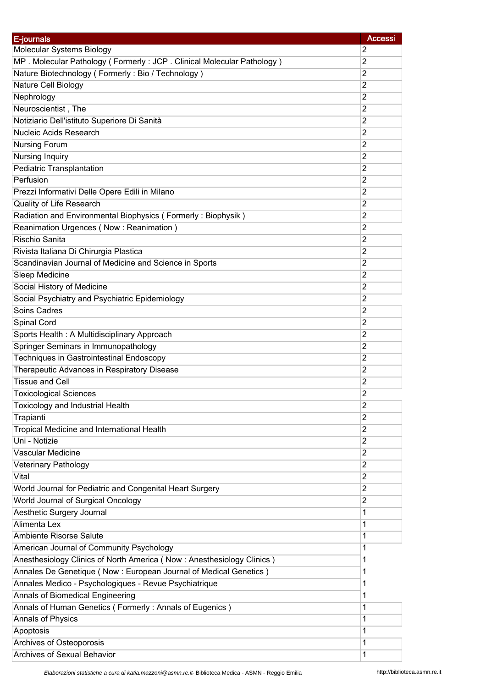| E-journals                                                            | <b>Accessi</b> |
|-----------------------------------------------------------------------|----------------|
| Molecular Systems Biology                                             | 2              |
| MP. Molecular Pathology (Formerly: JCP. Clinical Molecular Pathology) | $\overline{2}$ |
| Nature Biotechnology (Formerly: Bio / Technology)                     | $\overline{2}$ |
| Nature Cell Biology                                                   | 2              |
| Nephrology                                                            | 2              |
| Neuroscientist, The                                                   | 2              |
| Notiziario Dell'istituto Superiore Di Sanità                          | 2              |
| <b>Nucleic Acids Research</b>                                         | $\overline{2}$ |
| <b>Nursing Forum</b>                                                  | 2              |
| Nursing Inquiry                                                       | $\overline{2}$ |
| Pediatric Transplantation                                             | 2              |
| Perfusion                                                             | 2              |
| Prezzi Informativi Delle Opere Edili in Milano                        | 2              |
| Quality of Life Research                                              | 2              |
| Radiation and Environmental Biophysics (Formerly: Biophysik)          | $\overline{c}$ |
| Reanimation Urgences (Now: Reanimation)                               | 2              |
| Rischio Sanita                                                        | 2              |
| Rivista Italiana Di Chirurgia Plastica                                | 2              |
| Scandinavian Journal of Medicine and Science in Sports                | 2              |
| Sleep Medicine                                                        | $\overline{c}$ |
| Social History of Medicine                                            | $\overline{2}$ |
| Social Psychiatry and Psychiatric Epidemiology                        | 2              |
| Soins Cadres                                                          | 2              |
| Spinal Cord                                                           | 2              |
| Sports Health: A Multidisciplinary Approach                           | 2              |
| Springer Seminars in Immunopathology                                  | 2              |
| <b>Techniques in Gastrointestinal Endoscopy</b>                       | 2              |
| Therapeutic Advances in Respiratory Disease                           | 2              |
| <b>Tissue and Cell</b>                                                | $\overline{c}$ |
| <b>Toxicological Sciences</b>                                         | 2              |
| Toxicology and Industrial Health                                      | 2              |
| Trapianti                                                             | 2              |
| Tropical Medicine and International Health                            | 2              |
| Uni - Notizie                                                         | $\overline{2}$ |
| Vascular Medicine                                                     | 2              |
| Veterinary Pathology                                                  | $\overline{2}$ |
| Vital                                                                 | $\overline{2}$ |
| World Journal for Pediatric and Congenital Heart Surgery              | 2              |
| World Journal of Surgical Oncology                                    | 2              |
| Aesthetic Surgery Journal                                             | 1              |
| Alimenta Lex                                                          | 1              |
| Ambiente Risorse Salute                                               | 1              |
| American Journal of Community Psychology                              | 1              |
| Anesthesiology Clinics of North America (Now: Anesthesiology Clinics) | 1              |
| Annales De Genetique (Now : European Journal of Medical Genetics)     | 1              |
| Annales Medico - Psychologiques - Revue Psychiatrique                 | 1              |
| Annals of Biomedical Engineering                                      | 1              |
| Annals of Human Genetics (Formerly: Annals of Eugenics)               | 1              |
| Annals of Physics                                                     | 1              |
| Apoptosis                                                             | 1              |
| Archives of Osteoporosis                                              | 1              |
| Archives of Sexual Behavior                                           | 1              |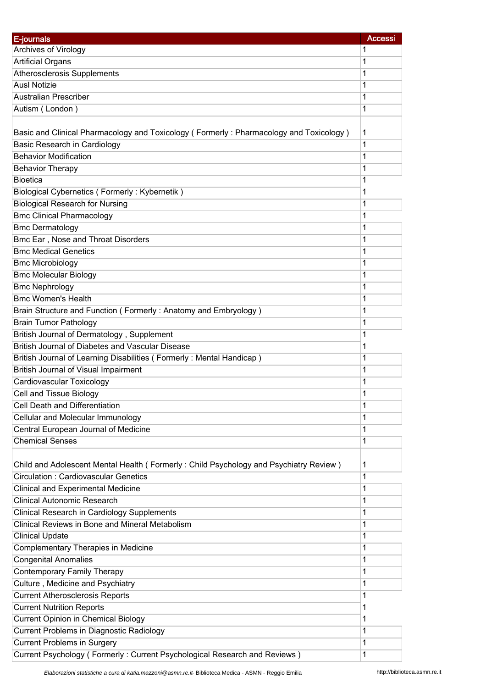| E-journals                                                                             | <b>Accessi</b> |
|----------------------------------------------------------------------------------------|----------------|
| Archives of Virology                                                                   | 1              |
| <b>Artificial Organs</b>                                                               | 1              |
| <b>Atherosclerosis Supplements</b>                                                     | 1              |
| <b>Ausl Notizie</b>                                                                    | 1              |
| Australian Prescriber                                                                  | 1              |
| Autism (London)                                                                        | 1              |
|                                                                                        |                |
| Basic and Clinical Pharmacology and Toxicology (Formerly: Pharmacology and Toxicology) | 1              |
| Basic Research in Cardiology                                                           | 1              |
| <b>Behavior Modification</b>                                                           | 1              |
| <b>Behavior Therapy</b>                                                                | 1              |
| <b>Bioetica</b>                                                                        | 1              |
| Biological Cybernetics (Formerly: Kybernetik)                                          | 1              |
| <b>Biological Research for Nursing</b>                                                 | 1              |
| <b>Bmc Clinical Pharmacology</b>                                                       | 1              |
| <b>Bmc Dermatology</b>                                                                 | 1              |
| Bmc Ear, Nose and Throat Disorders                                                     | 1              |
| <b>Bmc Medical Genetics</b>                                                            | 1              |
| <b>Bmc Microbiology</b>                                                                | 1              |
| <b>Bmc Molecular Biology</b>                                                           | 1              |
| <b>Bmc Nephrology</b>                                                                  | 1              |
| <b>Bmc Women's Health</b>                                                              | 1              |
| Brain Structure and Function (Formerly: Anatomy and Embryology)                        | 1              |
| <b>Brain Tumor Pathology</b>                                                           | 1              |
| British Journal of Dermatology, Supplement                                             | 1              |
| British Journal of Diabetes and Vascular Disease                                       | 1              |
| British Journal of Learning Disabilities (Formerly: Mental Handicap)                   | 1              |
| British Journal of Visual Impairment                                                   | 1              |
| Cardiovascular Toxicology                                                              | 1              |
| Cell and Tissue Biology                                                                | 1              |
| Cell Death and Differentiation                                                         | 1              |
| Cellular and Molecular Immunology                                                      | 1              |
| Central European Journal of Medicine                                                   | 1              |
| <b>Chemical Senses</b>                                                                 | 1              |
|                                                                                        |                |
| Child and Adolescent Mental Health (Formerly: Child Psychology and Psychiatry Review)  | 1              |
| <b>Circulation: Cardiovascular Genetics</b>                                            | 1              |
| <b>Clinical and Experimental Medicine</b>                                              | 1              |
| <b>Clinical Autonomic Research</b>                                                     | 1              |
| Clinical Research in Cardiology Supplements                                            | 1              |
| Clinical Reviews in Bone and Mineral Metabolism                                        | 1              |
| <b>Clinical Update</b>                                                                 | 1              |
| Complementary Therapies in Medicine                                                    | 1              |
| <b>Congenital Anomalies</b>                                                            | 1              |
| <b>Contemporary Family Therapy</b>                                                     | 1              |
| Culture, Medicine and Psychiatry                                                       | 1              |
| <b>Current Atherosclerosis Reports</b>                                                 | 1              |
| <b>Current Nutrition Reports</b>                                                       | 1              |
| <b>Current Opinion in Chemical Biology</b>                                             | 1              |
| Current Problems in Diagnostic Radiology                                               | 1              |
| <b>Current Problems in Surgery</b>                                                     | 1              |
| Current Psychology (Formerly: Current Psychological Research and Reviews)              | 1              |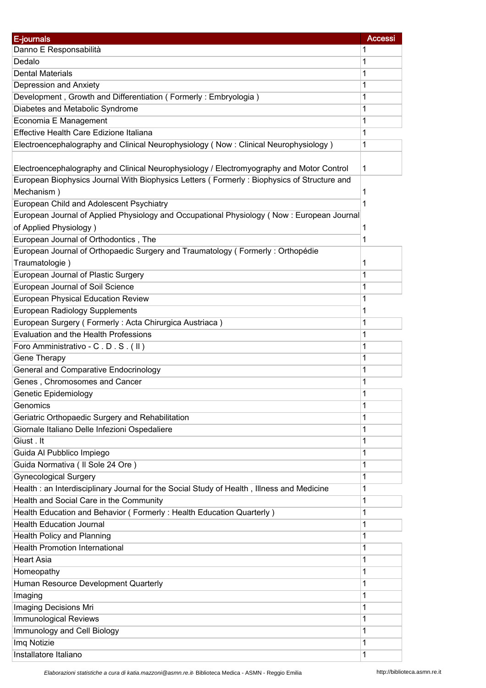| Danno E Responsabilità<br>1<br>Dedalo<br>1<br><b>Dental Materials</b><br>1<br>Depression and Anxiety<br>1<br>Development, Growth and Differentiation (Formerly: Embryologia)<br>1<br>Diabetes and Metabolic Syndrome<br>1<br>Economia E Management<br>1<br>Effective Health Care Edizione Italiana<br>1<br>Electroencephalography and Clinical Neurophysiology (Now: Clinical Neurophysiology)<br>1<br>Electroencephalography and Clinical Neurophysiology / Electromyography and Motor Control<br>1<br>European Biophysics Journal With Biophysics Letters (Formerly: Biophysics of Structure and<br>Mechanism)<br>1<br>European Child and Adolescent Psychiatry<br>1<br>European Journal of Applied Physiology and Occupational Physiology (Now: European Journal<br>of Applied Physiology)<br>1<br>European Journal of Orthodontics, The<br>1<br>European Journal of Orthopaedic Surgery and Traumatology (Formerly: Orthopédie<br>Traumatologie)<br>1<br>European Journal of Plastic Surgery<br>1<br>European Journal of Soil Science<br>1<br>European Physical Education Review<br>1<br><b>European Radiology Supplements</b><br>1<br>European Surgery (Formerly: Acta Chirurgica Austriaca)<br>1<br>Evaluation and the Health Professions<br>1<br>Foro Amministrativo - C.D.S. (II)<br>1<br>Gene Therapy<br>1<br><b>General and Comparative Endocrinology</b><br>1<br>Genes, Chromosomes and Cancer<br>1<br>Genetic Epidemiology<br>1<br>1<br>Genomics<br>Geriatric Orthopaedic Surgery and Rehabilitation<br>1<br>Giornale Italiano Delle Infezioni Ospedaliere<br>1<br>Giust. It<br>1<br>Guida Al Pubblico Impiego<br>1<br>Guida Normativa ( Il Sole 24 Ore )<br>1<br><b>Gynecological Surgery</b><br>1<br>Health : an Interdisciplinary Journal for the Social Study of Health, Illness and Medicine<br>1<br>Health and Social Care in the Community<br>1<br>Health Education and Behavior (Formerly: Health Education Quarterly)<br>1<br><b>Health Education Journal</b><br>1<br>Health Policy and Planning<br>1<br><b>Health Promotion International</b><br>1<br><b>Heart Asia</b><br>1<br>Homeopathy<br>1<br>Human Resource Development Quarterly<br>1<br>Imaging<br>1<br>Imaging Decisions Mri<br>1<br><b>Immunological Reviews</b><br>1<br>Immunology and Cell Biology<br>1<br>Imq Notizie<br>1 | E-journals | <b>Accessi</b> |
|---------------------------------------------------------------------------------------------------------------------------------------------------------------------------------------------------------------------------------------------------------------------------------------------------------------------------------------------------------------------------------------------------------------------------------------------------------------------------------------------------------------------------------------------------------------------------------------------------------------------------------------------------------------------------------------------------------------------------------------------------------------------------------------------------------------------------------------------------------------------------------------------------------------------------------------------------------------------------------------------------------------------------------------------------------------------------------------------------------------------------------------------------------------------------------------------------------------------------------------------------------------------------------------------------------------------------------------------------------------------------------------------------------------------------------------------------------------------------------------------------------------------------------------------------------------------------------------------------------------------------------------------------------------------------------------------------------------------------------------------------------------------------------------------------------------------------------------------------------------------------------------------------------------------------------------------------------------------------------------------------------------------------------------------------------------------------------------------------------------------------------------------------------------------------------------------------------------------------------------------------------------------------------------------------------------|------------|----------------|
|                                                                                                                                                                                                                                                                                                                                                                                                                                                                                                                                                                                                                                                                                                                                                                                                                                                                                                                                                                                                                                                                                                                                                                                                                                                                                                                                                                                                                                                                                                                                                                                                                                                                                                                                                                                                                                                                                                                                                                                                                                                                                                                                                                                                                                                                                                               |            |                |
|                                                                                                                                                                                                                                                                                                                                                                                                                                                                                                                                                                                                                                                                                                                                                                                                                                                                                                                                                                                                                                                                                                                                                                                                                                                                                                                                                                                                                                                                                                                                                                                                                                                                                                                                                                                                                                                                                                                                                                                                                                                                                                                                                                                                                                                                                                               |            |                |
|                                                                                                                                                                                                                                                                                                                                                                                                                                                                                                                                                                                                                                                                                                                                                                                                                                                                                                                                                                                                                                                                                                                                                                                                                                                                                                                                                                                                                                                                                                                                                                                                                                                                                                                                                                                                                                                                                                                                                                                                                                                                                                                                                                                                                                                                                                               |            |                |
|                                                                                                                                                                                                                                                                                                                                                                                                                                                                                                                                                                                                                                                                                                                                                                                                                                                                                                                                                                                                                                                                                                                                                                                                                                                                                                                                                                                                                                                                                                                                                                                                                                                                                                                                                                                                                                                                                                                                                                                                                                                                                                                                                                                                                                                                                                               |            |                |
|                                                                                                                                                                                                                                                                                                                                                                                                                                                                                                                                                                                                                                                                                                                                                                                                                                                                                                                                                                                                                                                                                                                                                                                                                                                                                                                                                                                                                                                                                                                                                                                                                                                                                                                                                                                                                                                                                                                                                                                                                                                                                                                                                                                                                                                                                                               |            |                |
|                                                                                                                                                                                                                                                                                                                                                                                                                                                                                                                                                                                                                                                                                                                                                                                                                                                                                                                                                                                                                                                                                                                                                                                                                                                                                                                                                                                                                                                                                                                                                                                                                                                                                                                                                                                                                                                                                                                                                                                                                                                                                                                                                                                                                                                                                                               |            |                |
|                                                                                                                                                                                                                                                                                                                                                                                                                                                                                                                                                                                                                                                                                                                                                                                                                                                                                                                                                                                                                                                                                                                                                                                                                                                                                                                                                                                                                                                                                                                                                                                                                                                                                                                                                                                                                                                                                                                                                                                                                                                                                                                                                                                                                                                                                                               |            |                |
|                                                                                                                                                                                                                                                                                                                                                                                                                                                                                                                                                                                                                                                                                                                                                                                                                                                                                                                                                                                                                                                                                                                                                                                                                                                                                                                                                                                                                                                                                                                                                                                                                                                                                                                                                                                                                                                                                                                                                                                                                                                                                                                                                                                                                                                                                                               |            |                |
|                                                                                                                                                                                                                                                                                                                                                                                                                                                                                                                                                                                                                                                                                                                                                                                                                                                                                                                                                                                                                                                                                                                                                                                                                                                                                                                                                                                                                                                                                                                                                                                                                                                                                                                                                                                                                                                                                                                                                                                                                                                                                                                                                                                                                                                                                                               |            |                |
|                                                                                                                                                                                                                                                                                                                                                                                                                                                                                                                                                                                                                                                                                                                                                                                                                                                                                                                                                                                                                                                                                                                                                                                                                                                                                                                                                                                                                                                                                                                                                                                                                                                                                                                                                                                                                                                                                                                                                                                                                                                                                                                                                                                                                                                                                                               |            |                |
|                                                                                                                                                                                                                                                                                                                                                                                                                                                                                                                                                                                                                                                                                                                                                                                                                                                                                                                                                                                                                                                                                                                                                                                                                                                                                                                                                                                                                                                                                                                                                                                                                                                                                                                                                                                                                                                                                                                                                                                                                                                                                                                                                                                                                                                                                                               |            |                |
|                                                                                                                                                                                                                                                                                                                                                                                                                                                                                                                                                                                                                                                                                                                                                                                                                                                                                                                                                                                                                                                                                                                                                                                                                                                                                                                                                                                                                                                                                                                                                                                                                                                                                                                                                                                                                                                                                                                                                                                                                                                                                                                                                                                                                                                                                                               |            |                |
|                                                                                                                                                                                                                                                                                                                                                                                                                                                                                                                                                                                                                                                                                                                                                                                                                                                                                                                                                                                                                                                                                                                                                                                                                                                                                                                                                                                                                                                                                                                                                                                                                                                                                                                                                                                                                                                                                                                                                                                                                                                                                                                                                                                                                                                                                                               |            |                |
|                                                                                                                                                                                                                                                                                                                                                                                                                                                                                                                                                                                                                                                                                                                                                                                                                                                                                                                                                                                                                                                                                                                                                                                                                                                                                                                                                                                                                                                                                                                                                                                                                                                                                                                                                                                                                                                                                                                                                                                                                                                                                                                                                                                                                                                                                                               |            |                |
|                                                                                                                                                                                                                                                                                                                                                                                                                                                                                                                                                                                                                                                                                                                                                                                                                                                                                                                                                                                                                                                                                                                                                                                                                                                                                                                                                                                                                                                                                                                                                                                                                                                                                                                                                                                                                                                                                                                                                                                                                                                                                                                                                                                                                                                                                                               |            |                |
|                                                                                                                                                                                                                                                                                                                                                                                                                                                                                                                                                                                                                                                                                                                                                                                                                                                                                                                                                                                                                                                                                                                                                                                                                                                                                                                                                                                                                                                                                                                                                                                                                                                                                                                                                                                                                                                                                                                                                                                                                                                                                                                                                                                                                                                                                                               |            |                |
|                                                                                                                                                                                                                                                                                                                                                                                                                                                                                                                                                                                                                                                                                                                                                                                                                                                                                                                                                                                                                                                                                                                                                                                                                                                                                                                                                                                                                                                                                                                                                                                                                                                                                                                                                                                                                                                                                                                                                                                                                                                                                                                                                                                                                                                                                                               |            |                |
|                                                                                                                                                                                                                                                                                                                                                                                                                                                                                                                                                                                                                                                                                                                                                                                                                                                                                                                                                                                                                                                                                                                                                                                                                                                                                                                                                                                                                                                                                                                                                                                                                                                                                                                                                                                                                                                                                                                                                                                                                                                                                                                                                                                                                                                                                                               |            |                |
|                                                                                                                                                                                                                                                                                                                                                                                                                                                                                                                                                                                                                                                                                                                                                                                                                                                                                                                                                                                                                                                                                                                                                                                                                                                                                                                                                                                                                                                                                                                                                                                                                                                                                                                                                                                                                                                                                                                                                                                                                                                                                                                                                                                                                                                                                                               |            |                |
|                                                                                                                                                                                                                                                                                                                                                                                                                                                                                                                                                                                                                                                                                                                                                                                                                                                                                                                                                                                                                                                                                                                                                                                                                                                                                                                                                                                                                                                                                                                                                                                                                                                                                                                                                                                                                                                                                                                                                                                                                                                                                                                                                                                                                                                                                                               |            |                |
|                                                                                                                                                                                                                                                                                                                                                                                                                                                                                                                                                                                                                                                                                                                                                                                                                                                                                                                                                                                                                                                                                                                                                                                                                                                                                                                                                                                                                                                                                                                                                                                                                                                                                                                                                                                                                                                                                                                                                                                                                                                                                                                                                                                                                                                                                                               |            |                |
|                                                                                                                                                                                                                                                                                                                                                                                                                                                                                                                                                                                                                                                                                                                                                                                                                                                                                                                                                                                                                                                                                                                                                                                                                                                                                                                                                                                                                                                                                                                                                                                                                                                                                                                                                                                                                                                                                                                                                                                                                                                                                                                                                                                                                                                                                                               |            |                |
|                                                                                                                                                                                                                                                                                                                                                                                                                                                                                                                                                                                                                                                                                                                                                                                                                                                                                                                                                                                                                                                                                                                                                                                                                                                                                                                                                                                                                                                                                                                                                                                                                                                                                                                                                                                                                                                                                                                                                                                                                                                                                                                                                                                                                                                                                                               |            |                |
|                                                                                                                                                                                                                                                                                                                                                                                                                                                                                                                                                                                                                                                                                                                                                                                                                                                                                                                                                                                                                                                                                                                                                                                                                                                                                                                                                                                                                                                                                                                                                                                                                                                                                                                                                                                                                                                                                                                                                                                                                                                                                                                                                                                                                                                                                                               |            |                |
|                                                                                                                                                                                                                                                                                                                                                                                                                                                                                                                                                                                                                                                                                                                                                                                                                                                                                                                                                                                                                                                                                                                                                                                                                                                                                                                                                                                                                                                                                                                                                                                                                                                                                                                                                                                                                                                                                                                                                                                                                                                                                                                                                                                                                                                                                                               |            |                |
|                                                                                                                                                                                                                                                                                                                                                                                                                                                                                                                                                                                                                                                                                                                                                                                                                                                                                                                                                                                                                                                                                                                                                                                                                                                                                                                                                                                                                                                                                                                                                                                                                                                                                                                                                                                                                                                                                                                                                                                                                                                                                                                                                                                                                                                                                                               |            |                |
|                                                                                                                                                                                                                                                                                                                                                                                                                                                                                                                                                                                                                                                                                                                                                                                                                                                                                                                                                                                                                                                                                                                                                                                                                                                                                                                                                                                                                                                                                                                                                                                                                                                                                                                                                                                                                                                                                                                                                                                                                                                                                                                                                                                                                                                                                                               |            |                |
|                                                                                                                                                                                                                                                                                                                                                                                                                                                                                                                                                                                                                                                                                                                                                                                                                                                                                                                                                                                                                                                                                                                                                                                                                                                                                                                                                                                                                                                                                                                                                                                                                                                                                                                                                                                                                                                                                                                                                                                                                                                                                                                                                                                                                                                                                                               |            |                |
|                                                                                                                                                                                                                                                                                                                                                                                                                                                                                                                                                                                                                                                                                                                                                                                                                                                                                                                                                                                                                                                                                                                                                                                                                                                                                                                                                                                                                                                                                                                                                                                                                                                                                                                                                                                                                                                                                                                                                                                                                                                                                                                                                                                                                                                                                                               |            |                |
|                                                                                                                                                                                                                                                                                                                                                                                                                                                                                                                                                                                                                                                                                                                                                                                                                                                                                                                                                                                                                                                                                                                                                                                                                                                                                                                                                                                                                                                                                                                                                                                                                                                                                                                                                                                                                                                                                                                                                                                                                                                                                                                                                                                                                                                                                                               |            |                |
|                                                                                                                                                                                                                                                                                                                                                                                                                                                                                                                                                                                                                                                                                                                                                                                                                                                                                                                                                                                                                                                                                                                                                                                                                                                                                                                                                                                                                                                                                                                                                                                                                                                                                                                                                                                                                                                                                                                                                                                                                                                                                                                                                                                                                                                                                                               |            |                |
|                                                                                                                                                                                                                                                                                                                                                                                                                                                                                                                                                                                                                                                                                                                                                                                                                                                                                                                                                                                                                                                                                                                                                                                                                                                                                                                                                                                                                                                                                                                                                                                                                                                                                                                                                                                                                                                                                                                                                                                                                                                                                                                                                                                                                                                                                                               |            |                |
|                                                                                                                                                                                                                                                                                                                                                                                                                                                                                                                                                                                                                                                                                                                                                                                                                                                                                                                                                                                                                                                                                                                                                                                                                                                                                                                                                                                                                                                                                                                                                                                                                                                                                                                                                                                                                                                                                                                                                                                                                                                                                                                                                                                                                                                                                                               |            |                |
|                                                                                                                                                                                                                                                                                                                                                                                                                                                                                                                                                                                                                                                                                                                                                                                                                                                                                                                                                                                                                                                                                                                                                                                                                                                                                                                                                                                                                                                                                                                                                                                                                                                                                                                                                                                                                                                                                                                                                                                                                                                                                                                                                                                                                                                                                                               |            |                |
|                                                                                                                                                                                                                                                                                                                                                                                                                                                                                                                                                                                                                                                                                                                                                                                                                                                                                                                                                                                                                                                                                                                                                                                                                                                                                                                                                                                                                                                                                                                                                                                                                                                                                                                                                                                                                                                                                                                                                                                                                                                                                                                                                                                                                                                                                                               |            |                |
|                                                                                                                                                                                                                                                                                                                                                                                                                                                                                                                                                                                                                                                                                                                                                                                                                                                                                                                                                                                                                                                                                                                                                                                                                                                                                                                                                                                                                                                                                                                                                                                                                                                                                                                                                                                                                                                                                                                                                                                                                                                                                                                                                                                                                                                                                                               |            |                |
|                                                                                                                                                                                                                                                                                                                                                                                                                                                                                                                                                                                                                                                                                                                                                                                                                                                                                                                                                                                                                                                                                                                                                                                                                                                                                                                                                                                                                                                                                                                                                                                                                                                                                                                                                                                                                                                                                                                                                                                                                                                                                                                                                                                                                                                                                                               |            |                |
|                                                                                                                                                                                                                                                                                                                                                                                                                                                                                                                                                                                                                                                                                                                                                                                                                                                                                                                                                                                                                                                                                                                                                                                                                                                                                                                                                                                                                                                                                                                                                                                                                                                                                                                                                                                                                                                                                                                                                                                                                                                                                                                                                                                                                                                                                                               |            |                |
|                                                                                                                                                                                                                                                                                                                                                                                                                                                                                                                                                                                                                                                                                                                                                                                                                                                                                                                                                                                                                                                                                                                                                                                                                                                                                                                                                                                                                                                                                                                                                                                                                                                                                                                                                                                                                                                                                                                                                                                                                                                                                                                                                                                                                                                                                                               |            |                |
|                                                                                                                                                                                                                                                                                                                                                                                                                                                                                                                                                                                                                                                                                                                                                                                                                                                                                                                                                                                                                                                                                                                                                                                                                                                                                                                                                                                                                                                                                                                                                                                                                                                                                                                                                                                                                                                                                                                                                                                                                                                                                                                                                                                                                                                                                                               |            |                |
|                                                                                                                                                                                                                                                                                                                                                                                                                                                                                                                                                                                                                                                                                                                                                                                                                                                                                                                                                                                                                                                                                                                                                                                                                                                                                                                                                                                                                                                                                                                                                                                                                                                                                                                                                                                                                                                                                                                                                                                                                                                                                                                                                                                                                                                                                                               |            |                |
|                                                                                                                                                                                                                                                                                                                                                                                                                                                                                                                                                                                                                                                                                                                                                                                                                                                                                                                                                                                                                                                                                                                                                                                                                                                                                                                                                                                                                                                                                                                                                                                                                                                                                                                                                                                                                                                                                                                                                                                                                                                                                                                                                                                                                                                                                                               |            |                |
|                                                                                                                                                                                                                                                                                                                                                                                                                                                                                                                                                                                                                                                                                                                                                                                                                                                                                                                                                                                                                                                                                                                                                                                                                                                                                                                                                                                                                                                                                                                                                                                                                                                                                                                                                                                                                                                                                                                                                                                                                                                                                                                                                                                                                                                                                                               |            |                |
|                                                                                                                                                                                                                                                                                                                                                                                                                                                                                                                                                                                                                                                                                                                                                                                                                                                                                                                                                                                                                                                                                                                                                                                                                                                                                                                                                                                                                                                                                                                                                                                                                                                                                                                                                                                                                                                                                                                                                                                                                                                                                                                                                                                                                                                                                                               |            |                |
|                                                                                                                                                                                                                                                                                                                                                                                                                                                                                                                                                                                                                                                                                                                                                                                                                                                                                                                                                                                                                                                                                                                                                                                                                                                                                                                                                                                                                                                                                                                                                                                                                                                                                                                                                                                                                                                                                                                                                                                                                                                                                                                                                                                                                                                                                                               |            |                |
|                                                                                                                                                                                                                                                                                                                                                                                                                                                                                                                                                                                                                                                                                                                                                                                                                                                                                                                                                                                                                                                                                                                                                                                                                                                                                                                                                                                                                                                                                                                                                                                                                                                                                                                                                                                                                                                                                                                                                                                                                                                                                                                                                                                                                                                                                                               |            |                |
|                                                                                                                                                                                                                                                                                                                                                                                                                                                                                                                                                                                                                                                                                                                                                                                                                                                                                                                                                                                                                                                                                                                                                                                                                                                                                                                                                                                                                                                                                                                                                                                                                                                                                                                                                                                                                                                                                                                                                                                                                                                                                                                                                                                                                                                                                                               |            |                |
|                                                                                                                                                                                                                                                                                                                                                                                                                                                                                                                                                                                                                                                                                                                                                                                                                                                                                                                                                                                                                                                                                                                                                                                                                                                                                                                                                                                                                                                                                                                                                                                                                                                                                                                                                                                                                                                                                                                                                                                                                                                                                                                                                                                                                                                                                                               |            |                |
|                                                                                                                                                                                                                                                                                                                                                                                                                                                                                                                                                                                                                                                                                                                                                                                                                                                                                                                                                                                                                                                                                                                                                                                                                                                                                                                                                                                                                                                                                                                                                                                                                                                                                                                                                                                                                                                                                                                                                                                                                                                                                                                                                                                                                                                                                                               |            |                |
|                                                                                                                                                                                                                                                                                                                                                                                                                                                                                                                                                                                                                                                                                                                                                                                                                                                                                                                                                                                                                                                                                                                                                                                                                                                                                                                                                                                                                                                                                                                                                                                                                                                                                                                                                                                                                                                                                                                                                                                                                                                                                                                                                                                                                                                                                                               |            |                |
|                                                                                                                                                                                                                                                                                                                                                                                                                                                                                                                                                                                                                                                                                                                                                                                                                                                                                                                                                                                                                                                                                                                                                                                                                                                                                                                                                                                                                                                                                                                                                                                                                                                                                                                                                                                                                                                                                                                                                                                                                                                                                                                                                                                                                                                                                                               |            |                |
| Installatore Italiano<br>1                                                                                                                                                                                                                                                                                                                                                                                                                                                                                                                                                                                                                                                                                                                                                                                                                                                                                                                                                                                                                                                                                                                                                                                                                                                                                                                                                                                                                                                                                                                                                                                                                                                                                                                                                                                                                                                                                                                                                                                                                                                                                                                                                                                                                                                                                    |            |                |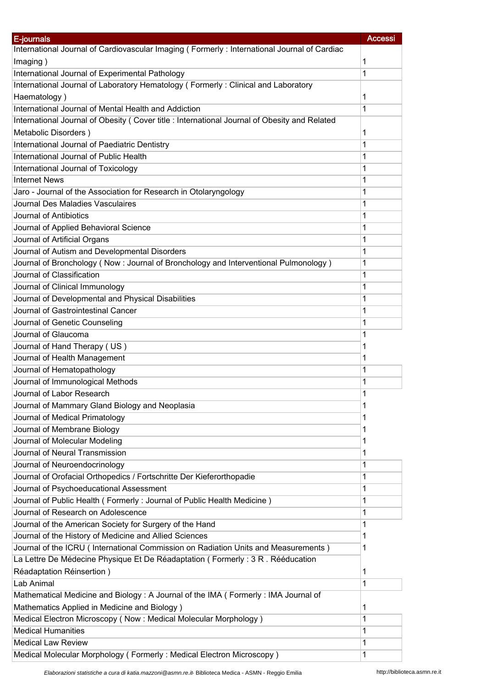| E-journals                                                                                   | <b>Accessi</b> |
|----------------------------------------------------------------------------------------------|----------------|
| International Journal of Cardiovascular Imaging (Formerly: International Journal of Cardiac  |                |
| Imaging)                                                                                     | 1              |
| International Journal of Experimental Pathology                                              | 1              |
| International Journal of Laboratory Hematology (Formerly: Clinical and Laboratory            |                |
| Haematology)                                                                                 | 1              |
| International Journal of Mental Health and Addiction                                         | 1              |
| International Journal of Obesity (Cover title : International Journal of Obesity and Related |                |
| Metabolic Disorders)                                                                         | 1              |
| International Journal of Paediatric Dentistry                                                | 1              |
| International Journal of Public Health                                                       | 1              |
| International Journal of Toxicology                                                          | 1              |
| <b>Internet News</b>                                                                         | 1              |
| Jaro - Journal of the Association for Research in Otolaryngology                             | 1              |
| Journal Des Maladies Vasculaires                                                             | 1              |
| Journal of Antibiotics                                                                       | 1              |
| Journal of Applied Behavioral Science                                                        | 1              |
| Journal of Artificial Organs                                                                 | 1              |
| Journal of Autism and Developmental Disorders                                                | 1              |
| Journal of Bronchology (Now: Journal of Bronchology and Interventional Pulmonology)          | 1              |
| Journal of Classification                                                                    | 1              |
| Journal of Clinical Immunology                                                               | 1              |
| Journal of Developmental and Physical Disabilities                                           | 1              |
| Journal of Gastrointestinal Cancer                                                           | 1              |
| Journal of Genetic Counseling                                                                | 1              |
| Journal of Glaucoma                                                                          | 1              |
| Journal of Hand Therapy (US)                                                                 | 1              |
| Journal of Health Management                                                                 | 1              |
| Journal of Hematopathology                                                                   | 1              |
| Journal of Immunological Methods                                                             | 1              |
| Journal of Labor Research                                                                    | 1              |
| Journal of Mammary Gland Biology and Neoplasia                                               | 1              |
| Journal of Medical Primatology                                                               | 1              |
| Journal of Membrane Biology                                                                  | 1              |
| Journal of Molecular Modeling                                                                | 1              |
| Journal of Neural Transmission                                                               | 1              |
| Journal of Neuroendocrinology                                                                | 1              |
| Journal of Orofacial Orthopedics / Fortschritte Der Kieferorthopadie                         | 1              |
| Journal of Psychoeducational Assessment                                                      | 1              |
| Journal of Public Health (Formerly: Journal of Public Health Medicine)                       | 1              |
| Journal of Research on Adolescence                                                           | 1              |
| Journal of the American Society for Surgery of the Hand                                      | 1              |
| Journal of the History of Medicine and Allied Sciences                                       | 1              |
| Journal of the ICRU (International Commission on Radiation Units and Measurements)           | 1              |
| La Lettre De Médecine Physique Et De Réadaptation (Formerly: 3 R. Rééducation                |                |
| Réadaptation Réinsertion)                                                                    | 1              |
| Lab Animal                                                                                   | 1              |
| Mathematical Medicine and Biology: A Journal of the IMA ( Formerly: IMA Journal of           |                |
| Mathematics Applied in Medicine and Biology)                                                 | 1              |
| Medical Electron Microscopy (Now: Medical Molecular Morphology)                              | 1              |
| <b>Medical Humanities</b>                                                                    | 1              |
| <b>Medical Law Review</b>                                                                    | 1              |
| Medical Molecular Morphology (Formerly: Medical Electron Microscopy)                         | 1              |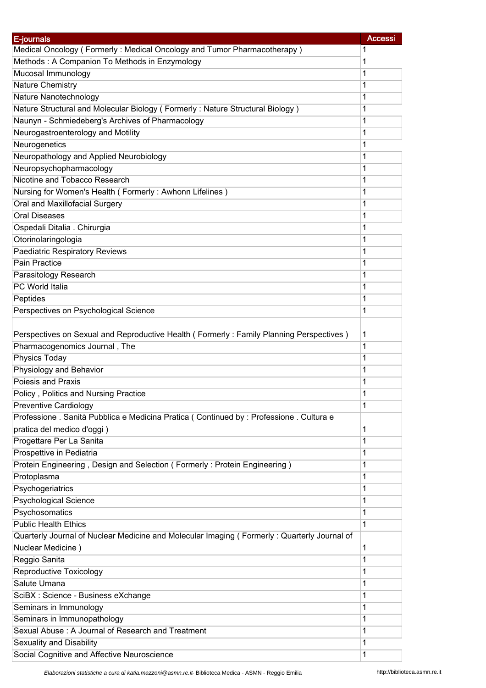| E-journals                                                                                  | <b>Accessi</b> |
|---------------------------------------------------------------------------------------------|----------------|
| Medical Oncology (Formerly: Medical Oncology and Tumor Pharmacotherapy)                     | 1              |
| Methods: A Companion To Methods in Enzymology                                               | 1              |
| Mucosal Immunology                                                                          | 1              |
| <b>Nature Chemistry</b>                                                                     | 1              |
| Nature Nanotechnology                                                                       | 1              |
| Nature Structural and Molecular Biology (Formerly: Nature Structural Biology)               | 1              |
| Naunyn - Schmiedeberg's Archives of Pharmacology                                            | 1              |
| Neurogastroenterology and Motility                                                          | 1              |
| Neurogenetics                                                                               | 1              |
| Neuropathology and Applied Neurobiology                                                     | 1              |
|                                                                                             | 1              |
| Neuropsychopharmacology<br>Nicotine and Tobacco Research                                    | 1              |
|                                                                                             |                |
| Nursing for Women's Health (Formerly: Awhonn Lifelines)                                     | 1              |
| Oral and Maxillofacial Surgery                                                              | 1              |
| <b>Oral Diseases</b>                                                                        | 1              |
| Ospedali Ditalia . Chirurgia                                                                | 1              |
| Otorinolaringologia                                                                         | 1              |
| <b>Paediatric Respiratory Reviews</b>                                                       | 1              |
| <b>Pain Practice</b>                                                                        | 1              |
| Parasitology Research                                                                       | 1              |
| PC World Italia                                                                             | 1              |
| Peptides                                                                                    | 1              |
| Perspectives on Psychological Science                                                       | 1              |
|                                                                                             |                |
| Perspectives on Sexual and Reproductive Health (Formerly: Family Planning Perspectives)     | 1              |
| Pharmacogenomics Journal, The                                                               | 1              |
| Physics Today                                                                               | 1              |
| Physiology and Behavior                                                                     | 1              |
| Poiesis and Praxis                                                                          | 1              |
| Policy, Politics and Nursing Practice                                                       | 1              |
| Preventive Cardiology                                                                       | 1              |
| Professione . Sanità Pubblica e Medicina Pratica (Continued by : Professione . Cultura e    |                |
| pratica del medico d'oggi)                                                                  | 1              |
| Progettare Per La Sanita                                                                    | 1              |
| Prospettive in Pediatria                                                                    | 1              |
|                                                                                             |                |
| Protein Engineering, Design and Selection (Formerly: Protein Engineering)                   | 1              |
| Protoplasma                                                                                 | 1              |
| Psychogeriatrics                                                                            | 1              |
| <b>Psychological Science</b>                                                                | 1              |
| Psychosomatics                                                                              | 1              |
| <b>Public Health Ethics</b>                                                                 | 1              |
| Quarterly Journal of Nuclear Medicine and Molecular Imaging (Formerly: Quarterly Journal of |                |
| Nuclear Medicine)                                                                           | 1              |
| Reggio Sanita                                                                               | 1              |
| Reproductive Toxicology                                                                     | 1              |
| Salute Umana                                                                                | 1              |
| SciBX : Science - Business eXchange                                                         | 1              |
| Seminars in Immunology                                                                      | 1              |
| Seminars in Immunopathology                                                                 | 1              |
| Sexual Abuse: A Journal of Research and Treatment                                           | 1              |
| Sexuality and Disability                                                                    | 1              |
| Social Cognitive and Affective Neuroscience                                                 | 1              |